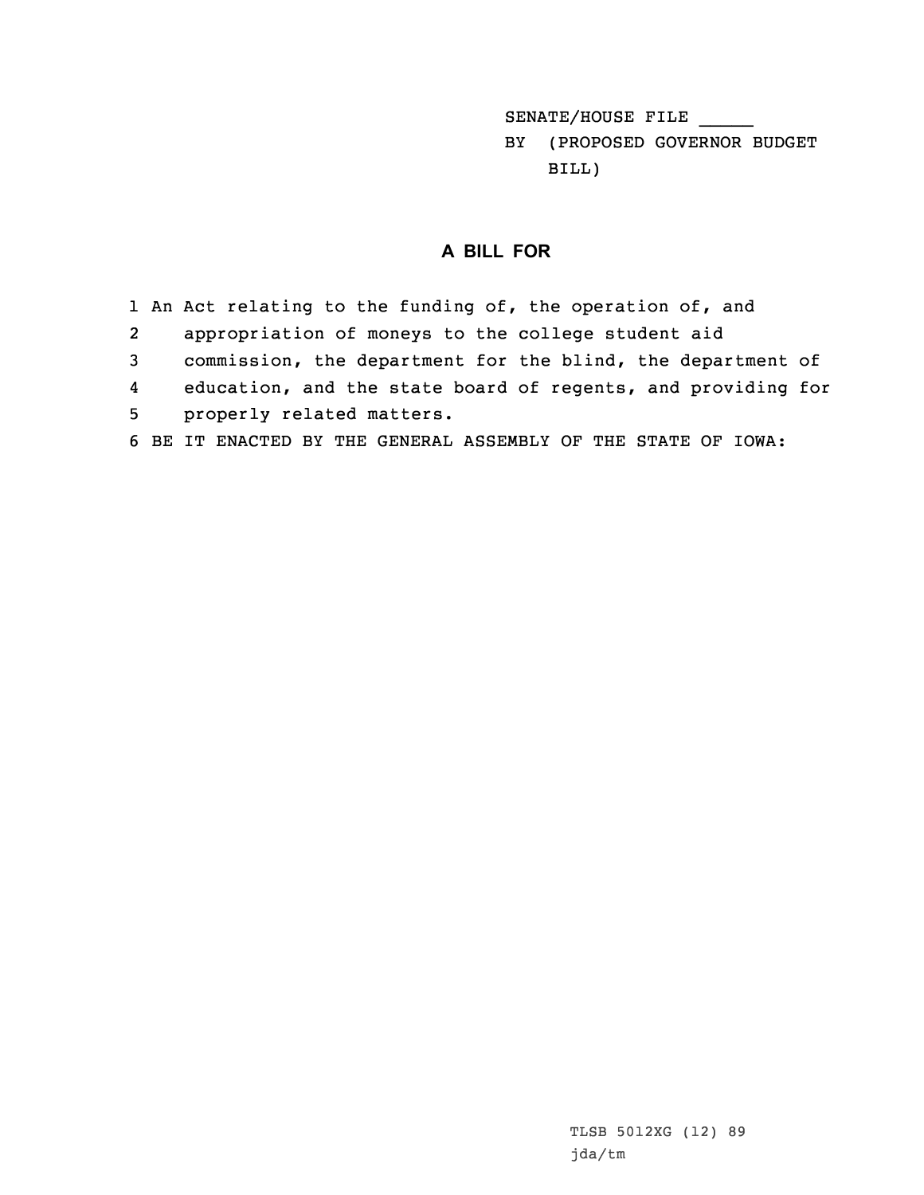SENATE/HOUSE FILE \_\_\_\_\_

BY (PROPOSED GOVERNOR BUDGET BILL)

## **A BILL FOR**

1 An Act relating to the funding of, the operation of, and 2 appropriation of moneys to the college student aid 3 commission, the department for the blind, the department of 4 education, and the state board of regents, and providing for 5 properly related matters. 6 BE IT ENACTED BY THE GENERAL ASSEMBLY OF THE STATE OF IOWA: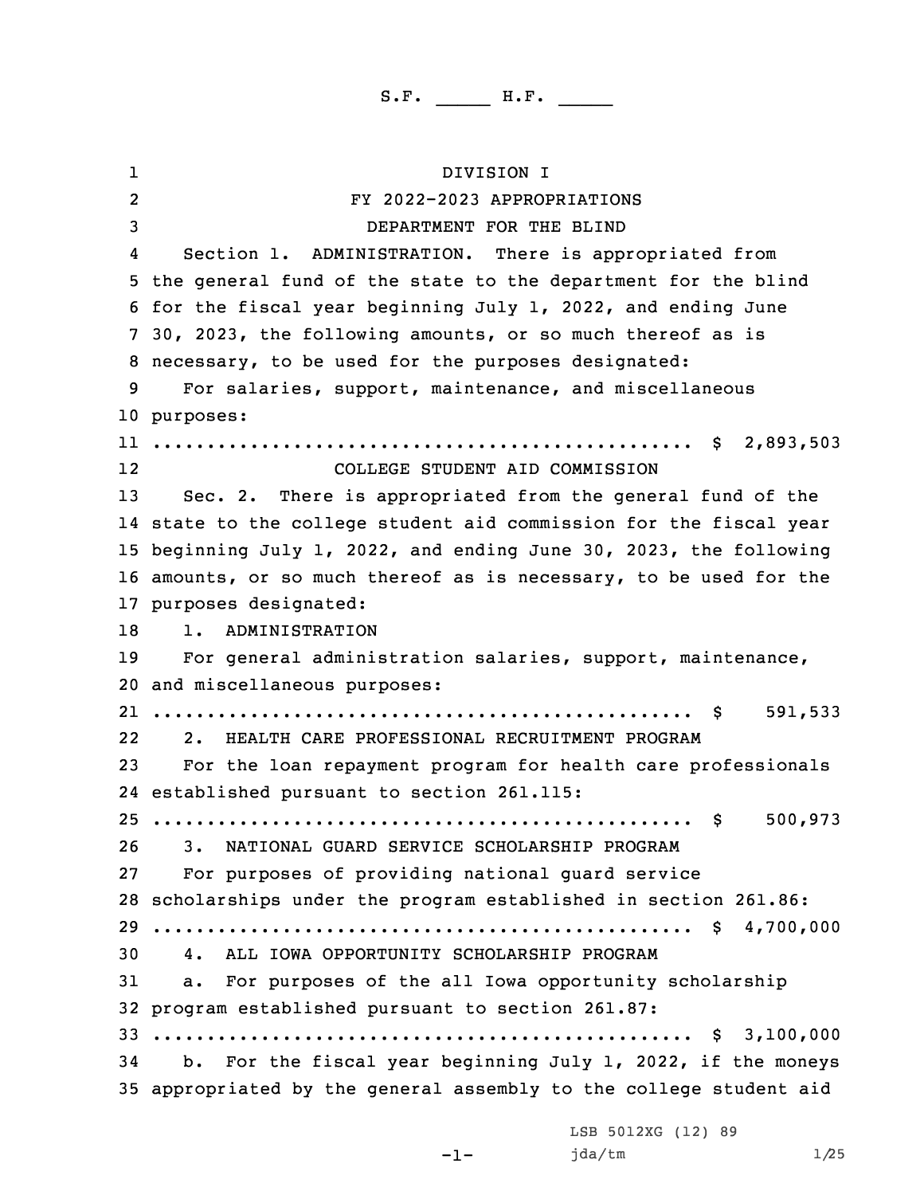1 DIVISION I 2 FY 2022-2023 APPROPRIATIONS DEPARTMENT FOR THE BLIND 4 Section 1. ADMINISTRATION. There is appropriated from the general fund of the state to the department for the blind for the fiscal year beginning July 1, 2022, and ending June 30, 2023, the following amounts, or so much thereof as is necessary, to be used for the purposes designated: For salaries, support, maintenance, and miscellaneous purposes: .................................................. \$ 2,893,503 12 COLLEGE STUDENT AID COMMISSION Sec. 2. There is appropriated from the general fund of the state to the college student aid commission for the fiscal year beginning July 1, 2022, and ending June 30, 2023, the following amounts, or so much thereof as is necessary, to be used for the purposes designated: 1. ADMINISTRATION For general administration salaries, support, maintenance, and miscellaneous purposes: .................................................. \$ 591,533 22 2. HEALTH CARE PROFESSIONAL RECRUITMENT PROGRAM For the loan repayment program for health care professionals established pursuant to section 261.115: .................................................. \$ 500,973 3. NATIONAL GUARD SERVICE SCHOLARSHIP PROGRAM For purposes of providing national guard service scholarships under the program established in section 261.86: .................................................. \$ 4,700,000 4. ALL IOWA OPPORTUNITY SCHOLARSHIP PROGRAM a. For purposes of the all Iowa opportunity scholarship program established pursuant to section 261.87: .................................................. \$ 3,100,000 b. For the fiscal year beginning July 1, 2022, if the moneys appropriated by the general assembly to the college student aid

LSB 5012XG (12) 89

jda/tm 1/25

```
-1-
```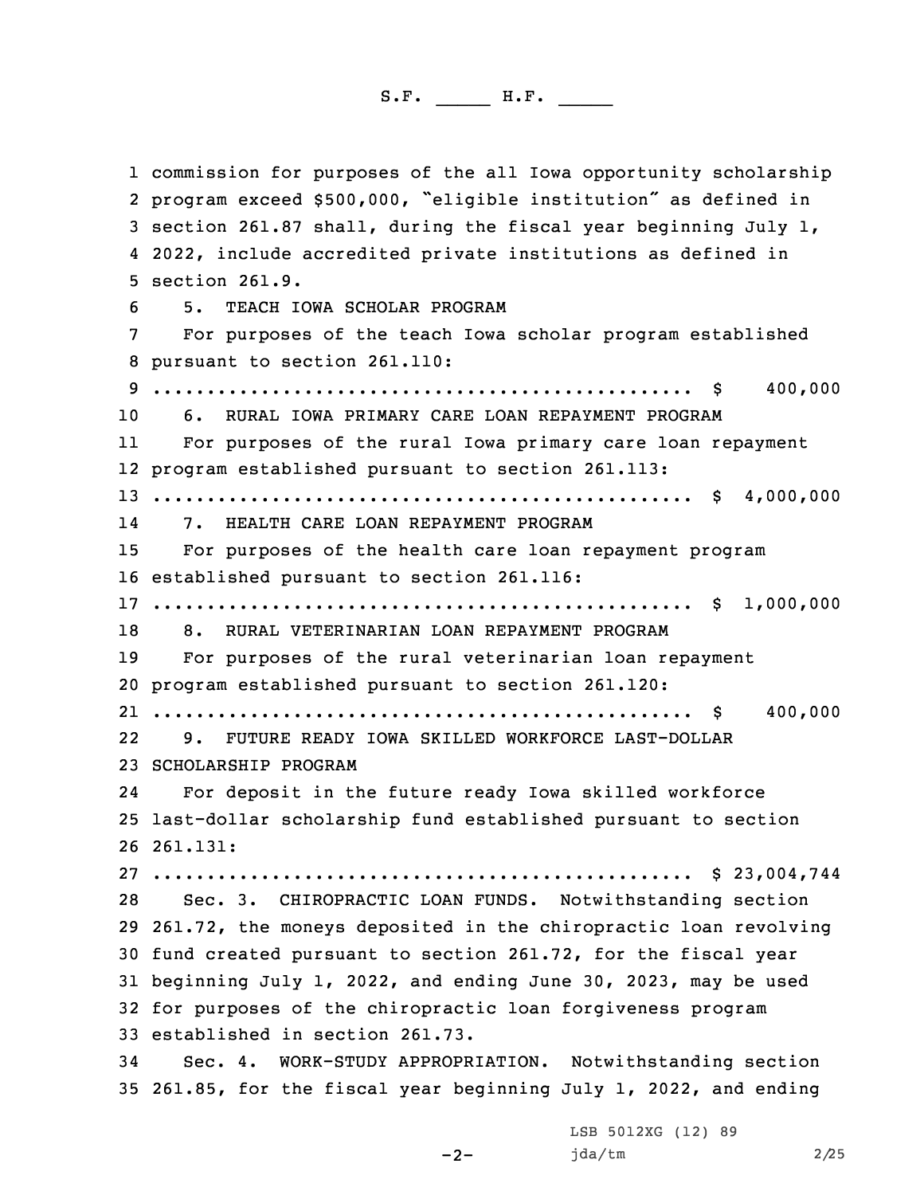commission for purposes of the all Iowa opportunity scholarship program exceed \$500,000, "eligible institution" as defined in section 261.87 shall, during the fiscal year beginning July 1, 2022, include accredited private institutions as defined in section 261.9. 5. TEACH IOWA SCHOLAR PROGRAM For purposes of the teach Iowa scholar program established pursuant to section 261.110: .................................................. \$ 400,000 6. RURAL IOWA PRIMARY CARE LOAN REPAYMENT PROGRAM 11 For purposes of the rural Iowa primary care loan repayment program established pursuant to section 261.113: .................................................. \$ 4,000,000 14 7. HEALTH CARE LOAN REPAYMENT PROGRAM For purposes of the health care loan repayment program established pursuant to section 261.116: .................................................. \$ 1,000,000 8. RURAL VETERINARIAN LOAN REPAYMENT PROGRAM For purposes of the rural veterinarian loan repayment program established pursuant to section 261.120: .................................................. \$ 400,000 22 9. FUTURE READY IOWA SKILLED WORKFORCE LAST-DOLLAR SCHOLARSHIP PROGRAM 24 For deposit in the future ready Iowa skilled workforce last-dollar scholarship fund established pursuant to section 26 261.131: .................................................. \$ 23,004,744 Sec. 3. CHIROPRACTIC LOAN FUNDS. Notwithstanding section 261.72, the moneys deposited in the chiropractic loan revolving fund created pursuant to section 261.72, for the fiscal year beginning July 1, 2022, and ending June 30, 2023, may be used for purposes of the chiropractic loan forgiveness program established in section 261.73. Sec. 4. WORK-STUDY APPROPRIATION. Notwithstanding section 261.85, for the fiscal year beginning July 1, 2022, and ending

-2-

LSB 5012XG (12) 89 jda/tm 2/25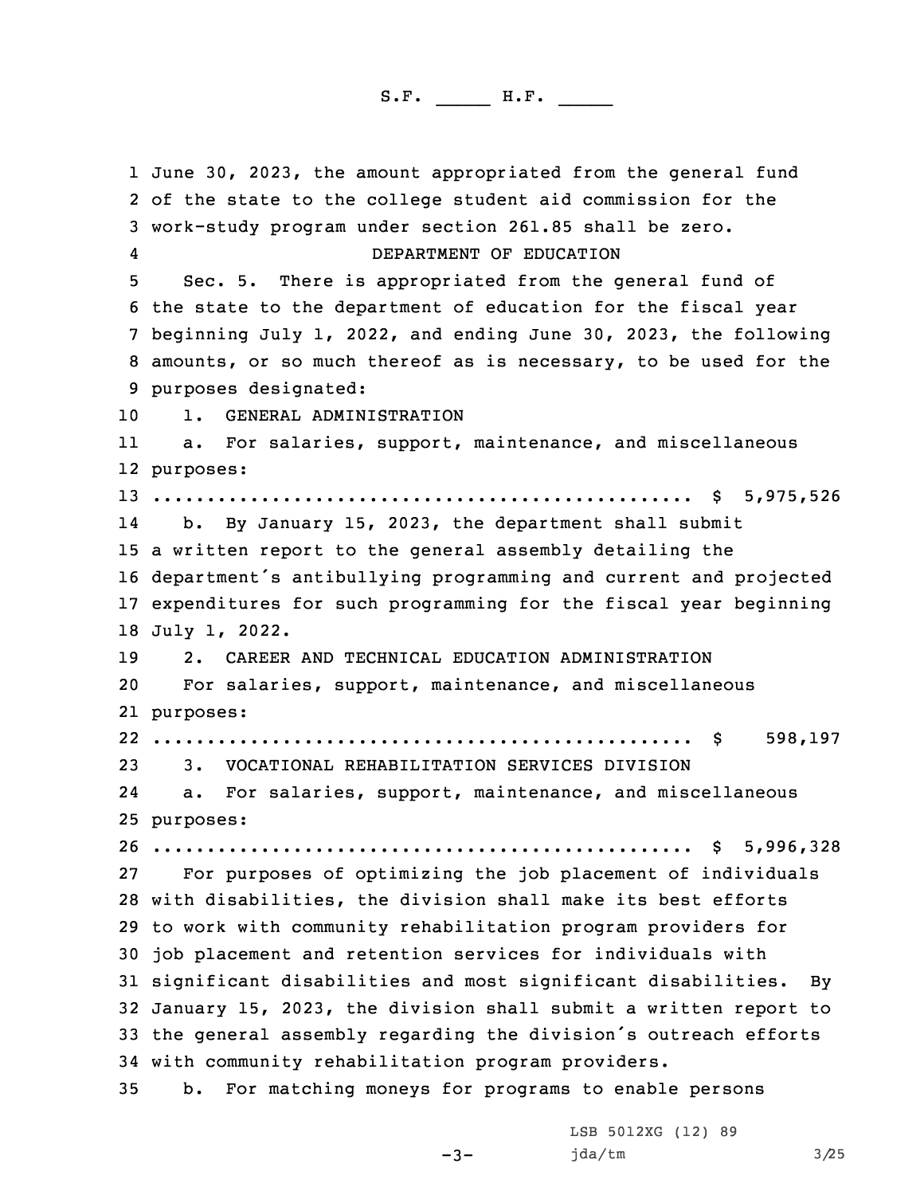June 30, 2023, the amount appropriated from the general fund of the state to the college student aid commission for the work-study program under section 261.85 shall be zero. 4 DEPARTMENT OF EDUCATION Sec. 5. There is appropriated from the general fund of the state to the department of education for the fiscal year beginning July 1, 2022, and ending June 30, 2023, the following amounts, or so much thereof as is necessary, to be used for the purposes designated: 1. GENERAL ADMINISTRATION 11 a. For salaries, support, maintenance, and miscellaneous purposes: .................................................. \$ 5,975,526 14 b. By January 15, 2023, the department shall submit <sup>a</sup> written report to the general assembly detailing the department's antibullying programming and current and projected expenditures for such programming for the fiscal year beginning July 1, 2022. 2. CAREER AND TECHNICAL EDUCATION ADMINISTRATION For salaries, support, maintenance, and miscellaneous purposes: .................................................. \$ 598,197 3. VOCATIONAL REHABILITATION SERVICES DIVISION 24 a. For salaries, support, maintenance, and miscellaneous purposes: .................................................. \$ 5,996,328 For purposes of optimizing the job placement of individuals with disabilities, the division shall make its best efforts to work with community rehabilitation program providers for job placement and retention services for individuals with significant disabilities and most significant disabilities. By January 15, 2023, the division shall submit <sup>a</sup> written report to the general assembly regarding the division's outreach efforts with community rehabilitation program providers. b. For matching moneys for programs to enable persons

-3-

LSB 5012XG (12) 89 jda/tm 3/25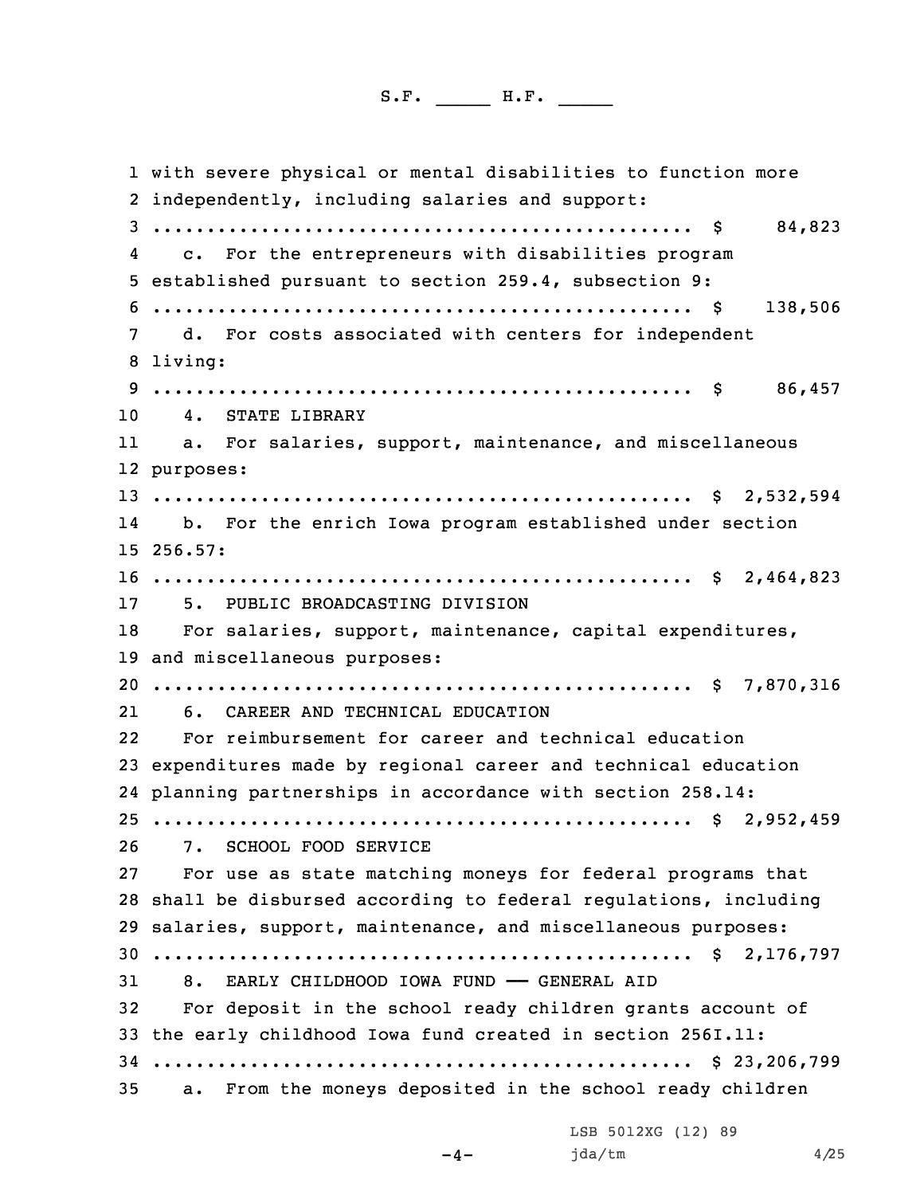with severe physical or mental disabilities to function more independently, including salaries and support: .................................................. \$ 84,823 4 c. For the entrepreneurs with disabilities program established pursuant to section 259.4, subsection 9: .................................................. \$ 138,506 d. For costs associated with centers for independent 8 living: .................................................. \$ 86,457 4. STATE LIBRARY 11 a. For salaries, support, maintenance, and miscellaneous purposes: .................................................. \$ 2,532,594 14 b. For the enrich Iowa program established under section 15 256.57: .................................................. \$ 2,464,823 5. PUBLIC BROADCASTING DIVISION For salaries, support, maintenance, capital expenditures, and miscellaneous purposes: .................................................. \$ 7,870,316 6. CAREER AND TECHNICAL EDUCATION 22 For reimbursement for career and technical education expenditures made by regional career and technical education planning partnerships in accordance with section 258.14: .................................................. \$ 2,952,459 7. SCHOOL FOOD SERVICE For use as state matching moneys for federal programs that shall be disbursed according to federal regulations, including salaries, support, maintenance, and miscellaneous purposes: .................................................. \$ 2,176,797 8. EARLY CHILDHOOD IOWA FUND —— GENERAL AID For deposit in the school ready children grants account of the early childhood Iowa fund created in section 256I.11: .................................................. \$ 23,206,799 a. From the moneys deposited in the school ready children

LSB 5012XG (12) 89

 $-4-$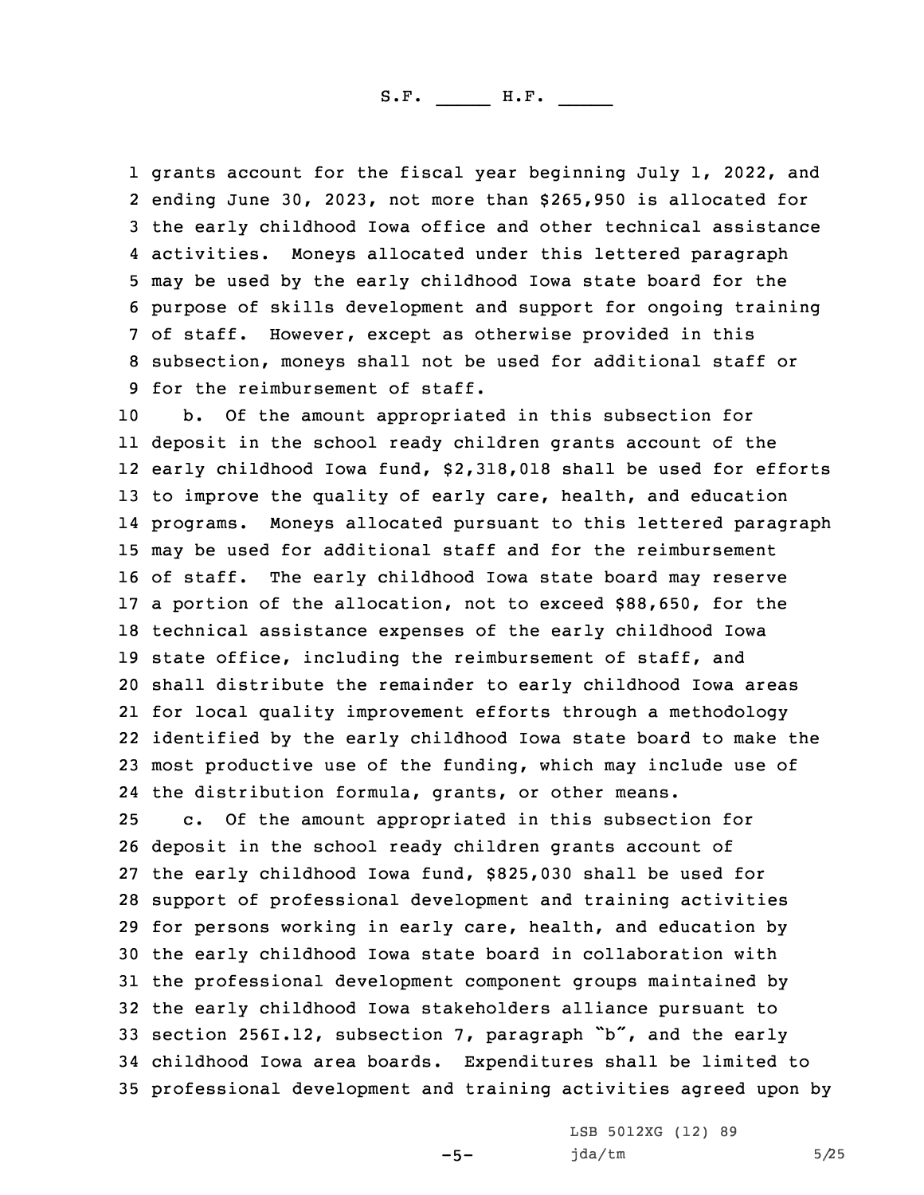grants account for the fiscal year beginning July 1, 2022, and ending June 30, 2023, not more than \$265,950 is allocated for the early childhood Iowa office and other technical assistance activities. Moneys allocated under this lettered paragraph may be used by the early childhood Iowa state board for the purpose of skills development and support for ongoing training of staff. However, except as otherwise provided in this subsection, moneys shall not be used for additional staff or for the reimbursement of staff.

 b. Of the amount appropriated in this subsection for deposit in the school ready children grants account of the early childhood Iowa fund, \$2,318,018 shall be used for efforts to improve the quality of early care, health, and education programs. Moneys allocated pursuant to this lettered paragraph may be used for additional staff and for the reimbursement of staff. The early childhood Iowa state board may reserve <sup>a</sup> portion of the allocation, not to exceed \$88,650, for the technical assistance expenses of the early childhood Iowa state office, including the reimbursement of staff, and shall distribute the remainder to early childhood Iowa areas for local quality improvement efforts through <sup>a</sup> methodology identified by the early childhood Iowa state board to make the most productive use of the funding, which may include use of the distribution formula, grants, or other means. c. Of the amount appropriated in this subsection for deposit in the school ready children grants account of the early childhood Iowa fund, \$825,030 shall be used for support of professional development and training activities for persons working in early care, health, and education by the early childhood Iowa state board in collaboration with the professional development component groups maintained by the early childhood Iowa stakeholders alliance pursuant to section 256I.12, subsection 7, paragraph "b", and the early childhood Iowa area boards. Expenditures shall be limited to professional development and training activities agreed upon by

 $-5-$ 

LSB 5012XG (12) 89  $jda/tm$  5/25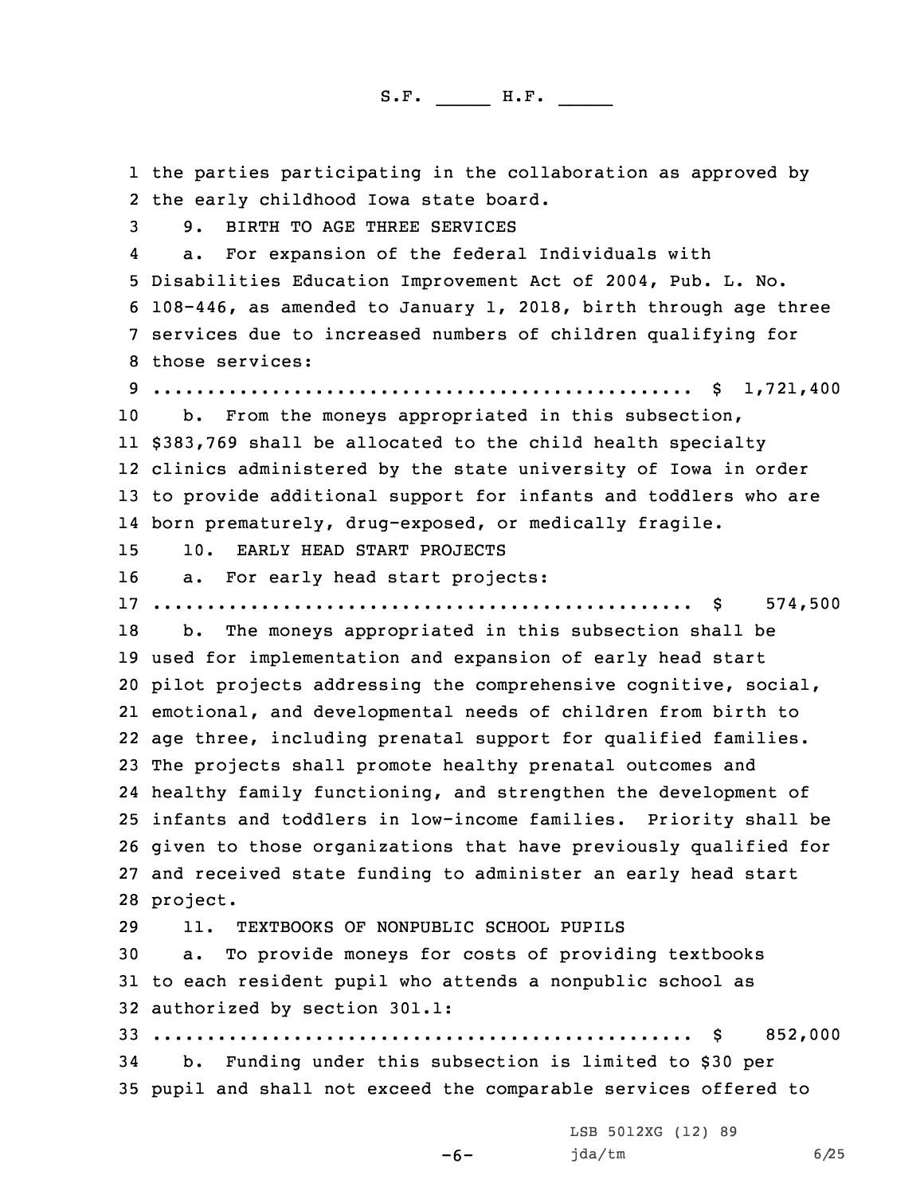the parties participating in the collaboration as approved by the early childhood Iowa state board. 9. BIRTH TO AGE THREE SERVICES 4 a. For expansion of the federal Individuals with Disabilities Education Improvement Act of 2004, Pub. L. No. 108-446, as amended to January 1, 2018, birth through age three services due to increased numbers of children qualifying for those services: .................................................. \$ 1,721,400 10 b. From the moneys appropriated in this subsection, \$383,769 shall be allocated to the child health specialty clinics administered by the state university of Iowa in order to provide additional support for infants and toddlers who are born prematurely, drug-exposed, or medically fragile. 10. EARLY HEAD START PROJECTS a. For early head start projects: .................................................. \$ 574,500 b. The moneys appropriated in this subsection shall be used for implementation and expansion of early head start pilot projects addressing the comprehensive cognitive, social, emotional, and developmental needs of children from birth to age three, including prenatal support for qualified families. The projects shall promote healthy prenatal outcomes and healthy family functioning, and strengthen the development of infants and toddlers in low-income families. Priority shall be given to those organizations that have previously qualified for and received state funding to administer an early head start 28 project. 11. TEXTBOOKS OF NONPUBLIC SCHOOL PUPILS a. To provide moneys for costs of providing textbooks to each resident pupil who attends <sup>a</sup> nonpublic school as authorized by section 301.1: .................................................. \$ 852,000 b. Funding under this subsection is limited to \$30 per pupil and shall not exceed the comparable services offered to LSB 5012XG (12) 89

-6-

jda/tm 6/25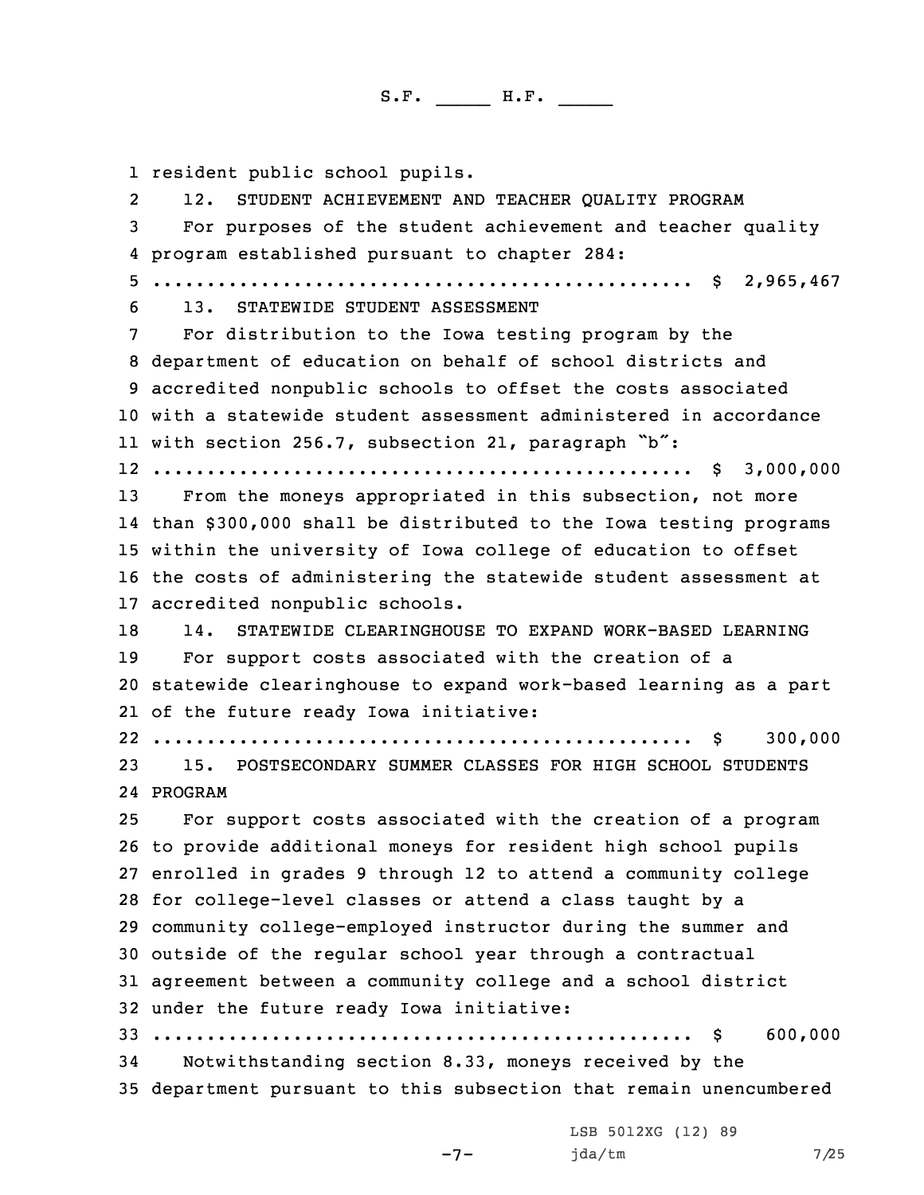1 resident public school pupils.

2 12. STUDENT ACHIEVEMENT AND TEACHER QUALITY PROGRAM For purposes of the student achievement and teacher quality program established pursuant to chapter 284: .................................................. \$ 2,965,467 13. STATEWIDE STUDENT ASSESSMENT For distribution to the Iowa testing program by the department of education on behalf of school districts and accredited nonpublic schools to offset the costs associated with <sup>a</sup> statewide student assessment administered in accordance with section 256.7, subsection 21, paragraph "b": .................................................. \$ 3,000,000 13 From the moneys appropriated in this subsection, not more than \$300,000 shall be distributed to the Iowa testing programs within the university of Iowa college of education to offset the costs of administering the statewide student assessment at accredited nonpublic schools. 14. STATEWIDE CLEARINGHOUSE TO EXPAND WORK-BASED LEARNING For support costs associated with the creation of <sup>a</sup> statewide clearinghouse to expand work-based learning as <sup>a</sup> part of the future ready Iowa initiative: .................................................. \$ 300,000 15. POSTSECONDARY SUMMER CLASSES FOR HIGH SCHOOL STUDENTS 24 PROGRAM For support costs associated with the creation of <sup>a</sup> program to provide additional moneys for resident high school pupils enrolled in grades 9 through 12 to attend <sup>a</sup> community college for college-level classes or attend <sup>a</sup> class taught by <sup>a</sup> community college-employed instructor during the summer and outside of the regular school year through <sup>a</sup> contractual agreement between <sup>a</sup> community college and <sup>a</sup> school district under the future ready Iowa initiative: .................................................. \$ 600,000 Notwithstanding section 8.33, moneys received by the department pursuant to this subsection that remain unencumbered

-7-

LSB 5012XG (12) 89 jda/tm 7/25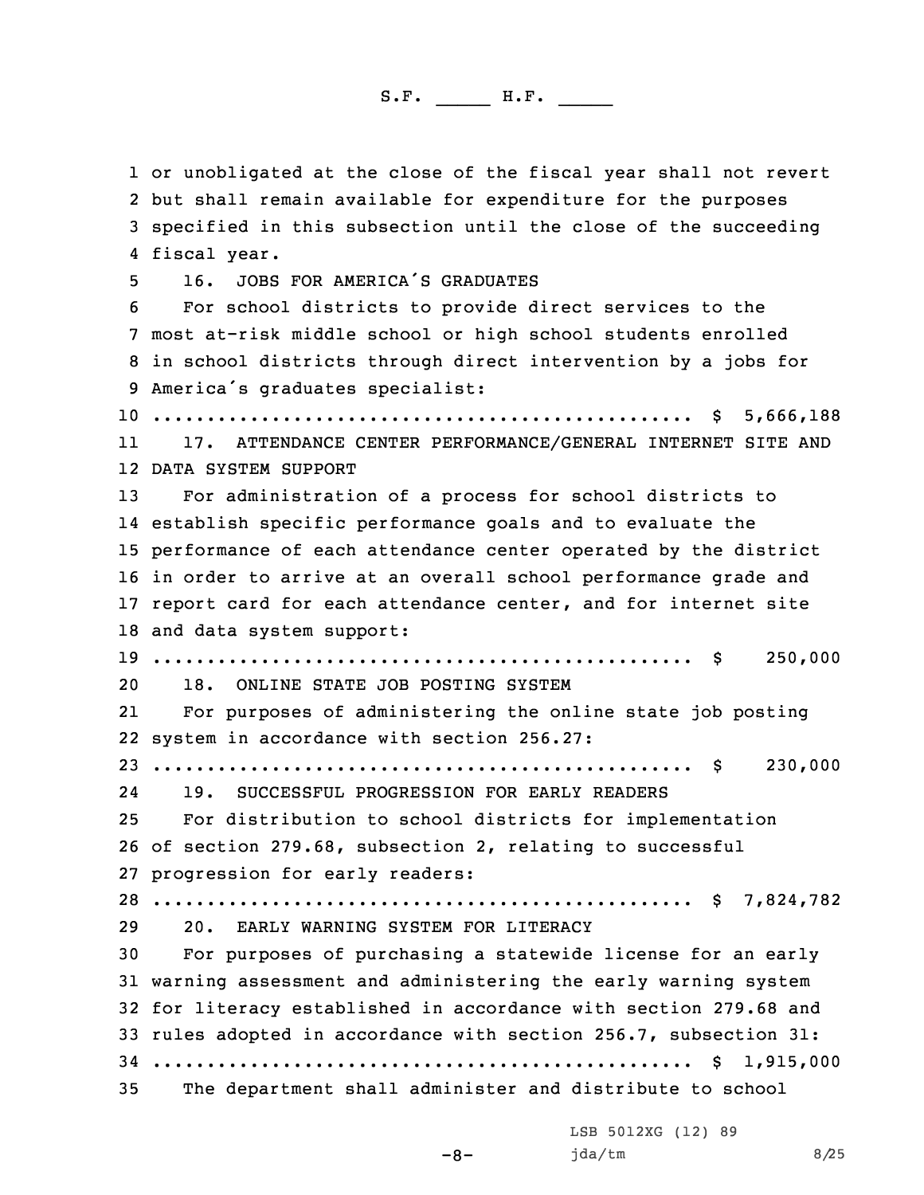or unobligated at the close of the fiscal year shall not revert but shall remain available for expenditure for the purposes specified in this subsection until the close of the succeeding fiscal year. 16. JOBS FOR AMERICA'S GRADUATES For school districts to provide direct services to the most at-risk middle school or high school students enrolled in school districts through direct intervention by <sup>a</sup> jobs for America's graduates specialist: .................................................. \$ 5,666,188 11 17. ATTENDANCE CENTER PERFORMANCE/GENERAL INTERNET SITE AND DATA SYSTEM SUPPORT For administration of <sup>a</sup> process for school districts to establish specific performance goals and to evaluate the performance of each attendance center operated by the district in order to arrive at an overall school performance grade and report card for each attendance center, and for internet site and data system support: .................................................. \$ 250,000 18. ONLINE STATE JOB POSTING SYSTEM 21 For purposes of administering the online state job posting system in accordance with section 256.27: .................................................. \$ 230,000 24 19. SUCCESSFUL PROGRESSION FOR EARLY READERS For distribution to school districts for implementation of section 279.68, subsection 2, relating to successful progression for early readers: .................................................. \$ 7,824,782 20. EARLY WARNING SYSTEM FOR LITERACY For purposes of purchasing <sup>a</sup> statewide license for an early warning assessment and administering the early warning system for literacy established in accordance with section 279.68 and rules adopted in accordance with section 256.7, subsection 31: .................................................. \$ 1,915,000 The department shall administer and distribute to school

-8-

LSB 5012XG (12) 89  $jda/tm$  8/25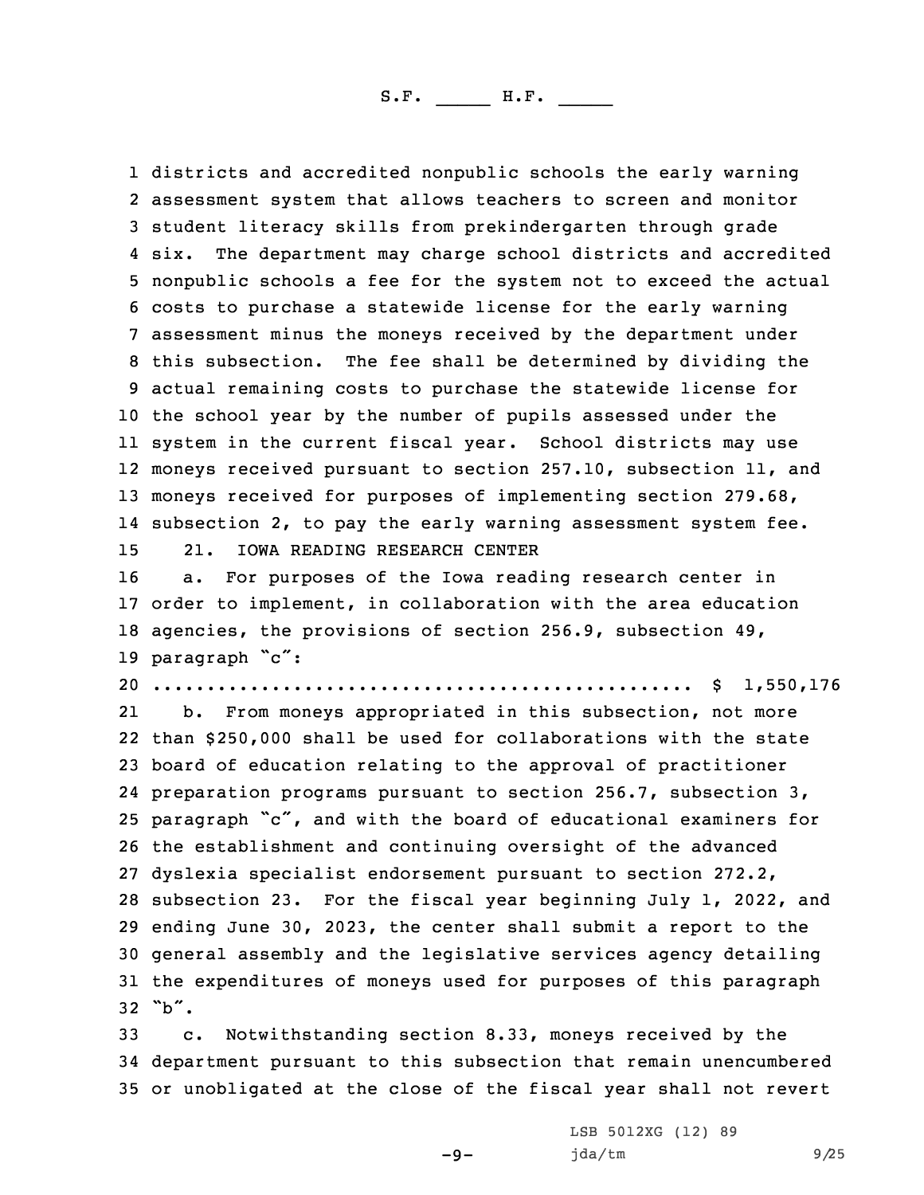districts and accredited nonpublic schools the early warning assessment system that allows teachers to screen and monitor student literacy skills from prekindergarten through grade six. The department may charge school districts and accredited nonpublic schools <sup>a</sup> fee for the system not to exceed the actual costs to purchase <sup>a</sup> statewide license for the early warning assessment minus the moneys received by the department under this subsection. The fee shall be determined by dividing the actual remaining costs to purchase the statewide license for the school year by the number of pupils assessed under the system in the current fiscal year. School districts may use moneys received pursuant to section 257.10, subsection 11, and moneys received for purposes of implementing section 279.68, subsection 2, to pay the early warning assessment system fee. 21. IOWA READING RESEARCH CENTER

 a. For purposes of the Iowa reading research center in order to implement, in collaboration with the area education agencies, the provisions of section 256.9, subsection 49, 19 paragraph "c":

20 .................................................. \$ 1,550,176

21 b. From moneys appropriated in this subsection, not more than \$250,000 shall be used for collaborations with the state board of education relating to the approval of practitioner preparation programs pursuant to section 256.7, subsection 3, paragraph "c", and with the board of educational examiners for the establishment and continuing oversight of the advanced dyslexia specialist endorsement pursuant to section 272.2, subsection 23. For the fiscal year beginning July 1, 2022, and ending June 30, 2023, the center shall submit <sup>a</sup> report to the general assembly and the legislative services agency detailing the expenditures of moneys used for purposes of this paragraph  $32$  "b".

33 c. Notwithstanding section 8.33, moneys received by the 34 department pursuant to this subsection that remain unencumbered 35 or unobligated at the close of the fiscal year shall not revert

 $-9-$ 

LSB 5012XG (12) 89 jda/tm 9/25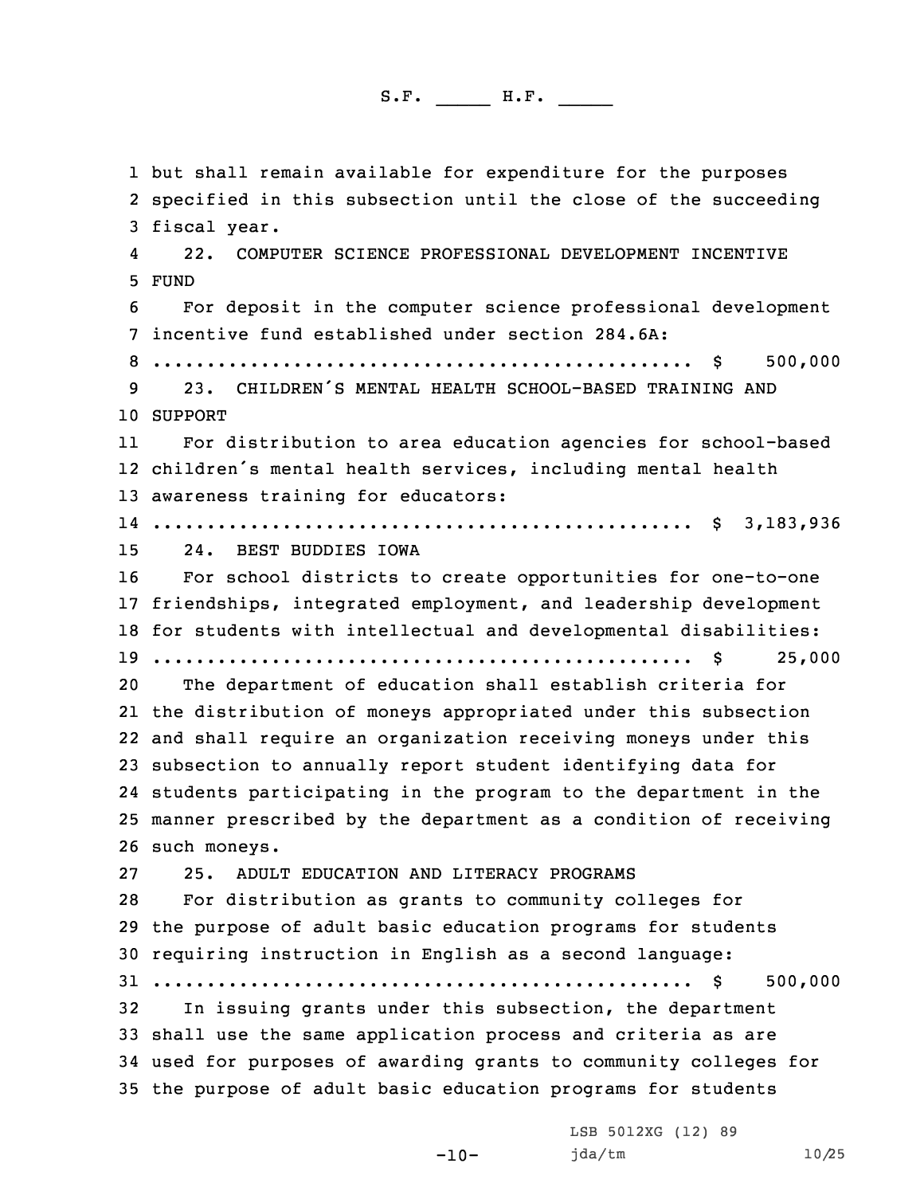but shall remain available for expenditure for the purposes specified in this subsection until the close of the succeeding fiscal year. 4 22. COMPUTER SCIENCE PROFESSIONAL DEVELOPMENT INCENTIVE 5 FUND For deposit in the computer science professional development incentive fund established under section 284.6A: .................................................. \$ 500,000 23. CHILDREN'S MENTAL HEALTH SCHOOL-BASED TRAINING AND 10 SUPPORT 11 For distribution to area education agencies for school-based children's mental health services, including mental health awareness training for educators: .................................................. \$ 3,183,936 24. BEST BUDDIES IOWA For school districts to create opportunities for one-to-one friendships, integrated employment, and leadership development for students with intellectual and developmental disabilities: .................................................. \$ 25,000 The department of education shall establish criteria for the distribution of moneys appropriated under this subsection and shall require an organization receiving moneys under this subsection to annually report student identifying data for students participating in the program to the department in the manner prescribed by the department as <sup>a</sup> condition of receiving such moneys. 25. ADULT EDUCATION AND LITERACY PROGRAMS For distribution as grants to community colleges for the purpose of adult basic education programs for students requiring instruction in English as <sup>a</sup> second language: .................................................. \$ 500,000 In issuing grants under this subsection, the department shall use the same application process and criteria as are used for purposes of awarding grants to community colleges for the purpose of adult basic education programs for students

-10-

LSB 5012XG (12) 89 jda/tm 10/25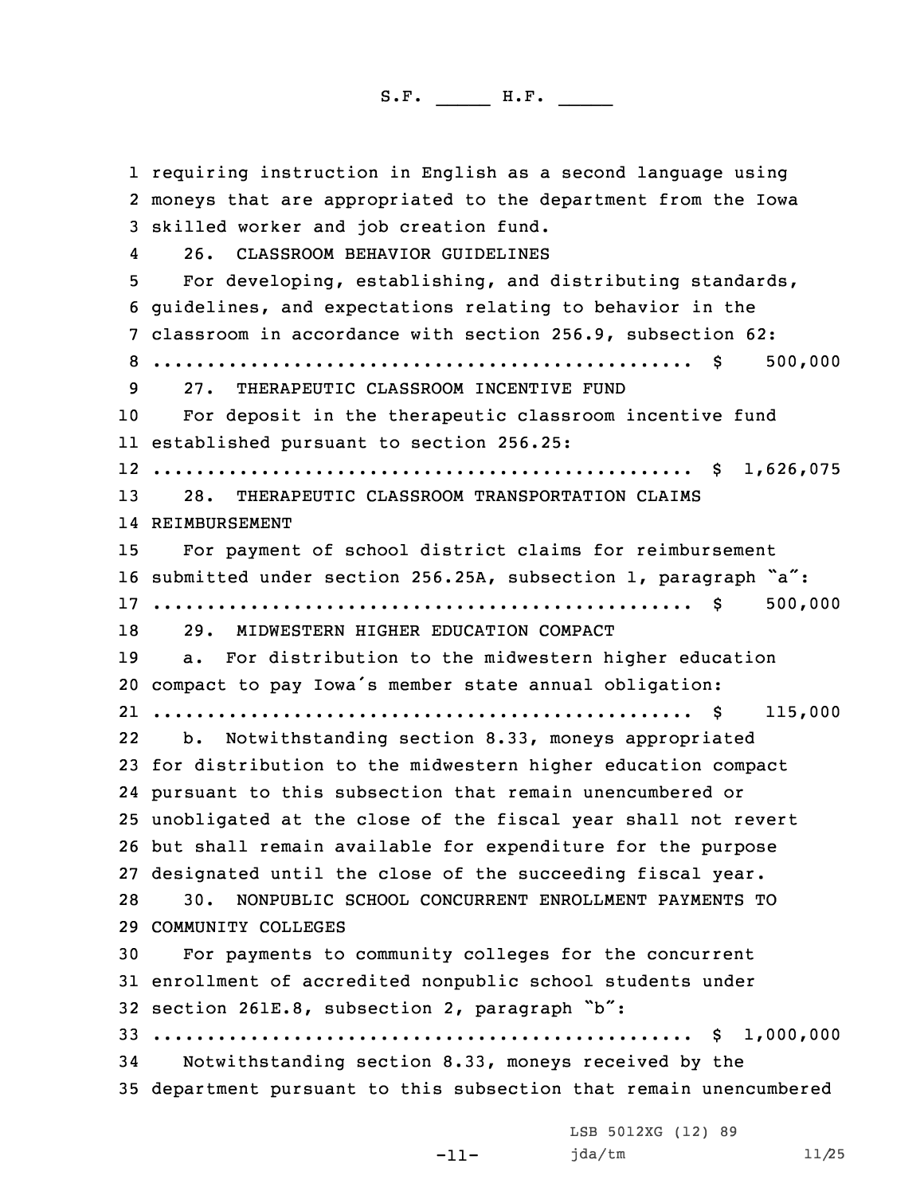requiring instruction in English as <sup>a</sup> second language using moneys that are appropriated to the department from the Iowa skilled worker and job creation fund. 4 26. CLASSROOM BEHAVIOR GUIDELINES For developing, establishing, and distributing standards, guidelines, and expectations relating to behavior in the classroom in accordance with section 256.9, subsection 62: .................................................. \$ 500,000 27. THERAPEUTIC CLASSROOM INCENTIVE FUND For deposit in the therapeutic classroom incentive fund established pursuant to section 256.25: .................................................. \$ 1,626,075 28. THERAPEUTIC CLASSROOM TRANSPORTATION CLAIMS REIMBURSEMENT For payment of school district claims for reimbursement submitted under section 256.25A, subsection 1, paragraph "a": .................................................. \$ 500,000 29. MIDWESTERN HIGHER EDUCATION COMPACT a. For distribution to the midwestern higher education compact to pay Iowa's member state annual obligation: .................................................. \$ 115,000 22 b. Notwithstanding section 8.33, moneys appropriated for distribution to the midwestern higher education compact pursuant to this subsection that remain unencumbered or unobligated at the close of the fiscal year shall not revert but shall remain available for expenditure for the purpose designated until the close of the succeeding fiscal year. 30. NONPUBLIC SCHOOL CONCURRENT ENROLLMENT PAYMENTS TO COMMUNITY COLLEGES For payments to community colleges for the concurrent enrollment of accredited nonpublic school students under section 261E.8, subsection 2, paragraph "b": .................................................. \$ 1,000,000 Notwithstanding section 8.33, moneys received by the department pursuant to this subsection that remain unencumbered LSB 5012XG (12) 89

-11-

jda/tm 11/25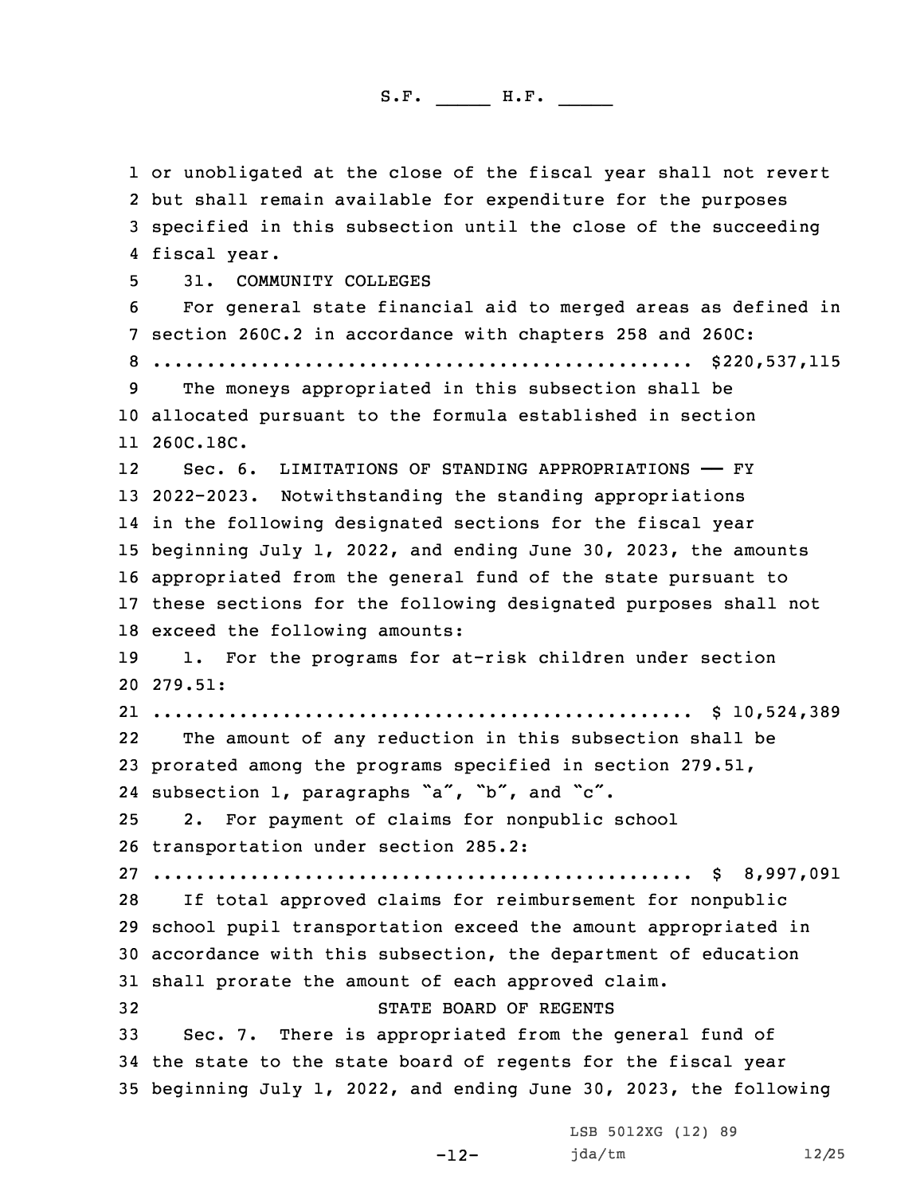or unobligated at the close of the fiscal year shall not revert but shall remain available for expenditure for the purposes specified in this subsection until the close of the succeeding fiscal year. 31. COMMUNITY COLLEGES For general state financial aid to merged areas as defined in section 260C.2 in accordance with chapters 258 and 260C: .................................................. \$220,537,115 The moneys appropriated in this subsection shall be allocated pursuant to the formula established in section 260C.18C. 12 Sec. 6. LIMITATIONS OF STANDING APPROPRIATIONS —— FY 2022-2023. Notwithstanding the standing appropriations in the following designated sections for the fiscal year beginning July 1, 2022, and ending June 30, 2023, the amounts appropriated from the general fund of the state pursuant to these sections for the following designated purposes shall not exceed the following amounts: 1. For the programs for at-risk children under section 20 279.51: .................................................. \$ 10,524,389 22 The amount of any reduction in this subsection shall be prorated among the programs specified in section 279.51, subsection 1, paragraphs "a", "b", and "c". 2. For payment of claims for nonpublic school transportation under section 285.2: .................................................. \$ 8,997,091 If total approved claims for reimbursement for nonpublic school pupil transportation exceed the amount appropriated in accordance with this subsection, the department of education shall prorate the amount of each approved claim. STATE BOARD OF REGENTS Sec. 7. There is appropriated from the general fund of the state to the state board of regents for the fiscal year beginning July 1, 2022, and ending June 30, 2023, the following

-12-

LSB 5012XG (12) 89 jda/tm 12/25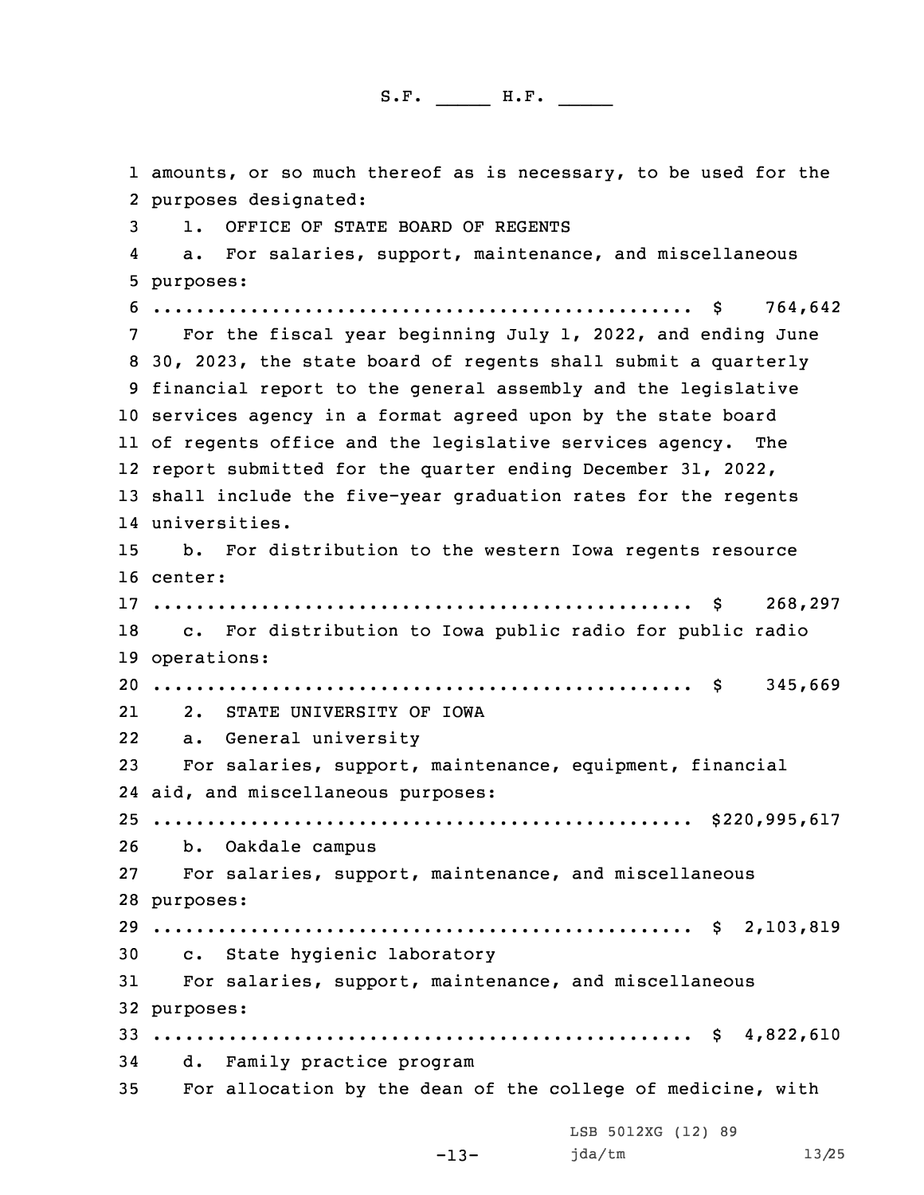amounts, or so much thereof as is necessary, to be used for the purposes designated: 1. OFFICE OF STATE BOARD OF REGENTS 4 a. For salaries, support, maintenance, and miscellaneous purposes: .................................................. \$ 764,642 For the fiscal year beginning July 1, 2022, and ending June 30, 2023, the state board of regents shall submit <sup>a</sup> quarterly financial report to the general assembly and the legislative services agency in <sup>a</sup> format agreed upon by the state board of regents office and the legislative services agency. The report submitted for the quarter ending December 31, 2022, shall include the five-year graduation rates for the regents universities. b. For distribution to the western Iowa regents resource 16 center: .................................................. \$ 268,297 c. For distribution to Iowa public radio for public radio operations: .................................................. \$ 345,669 21 2. STATE UNIVERSITY OF IOWA a. General university For salaries, support, maintenance, equipment, financial aid, and miscellaneous purposes: .................................................. \$220,995,617 b. Oakdale campus For salaries, support, maintenance, and miscellaneous purposes: .................................................. \$ 2,103,819 c. State hygienic laboratory For salaries, support, maintenance, and miscellaneous purposes:  $33............................................................$ \$ 4,822,610 d. Family practice program For allocation by the dean of the college of medicine, with LSB 5012XG (12) 89

```
-13-
```
jda/tm 13/25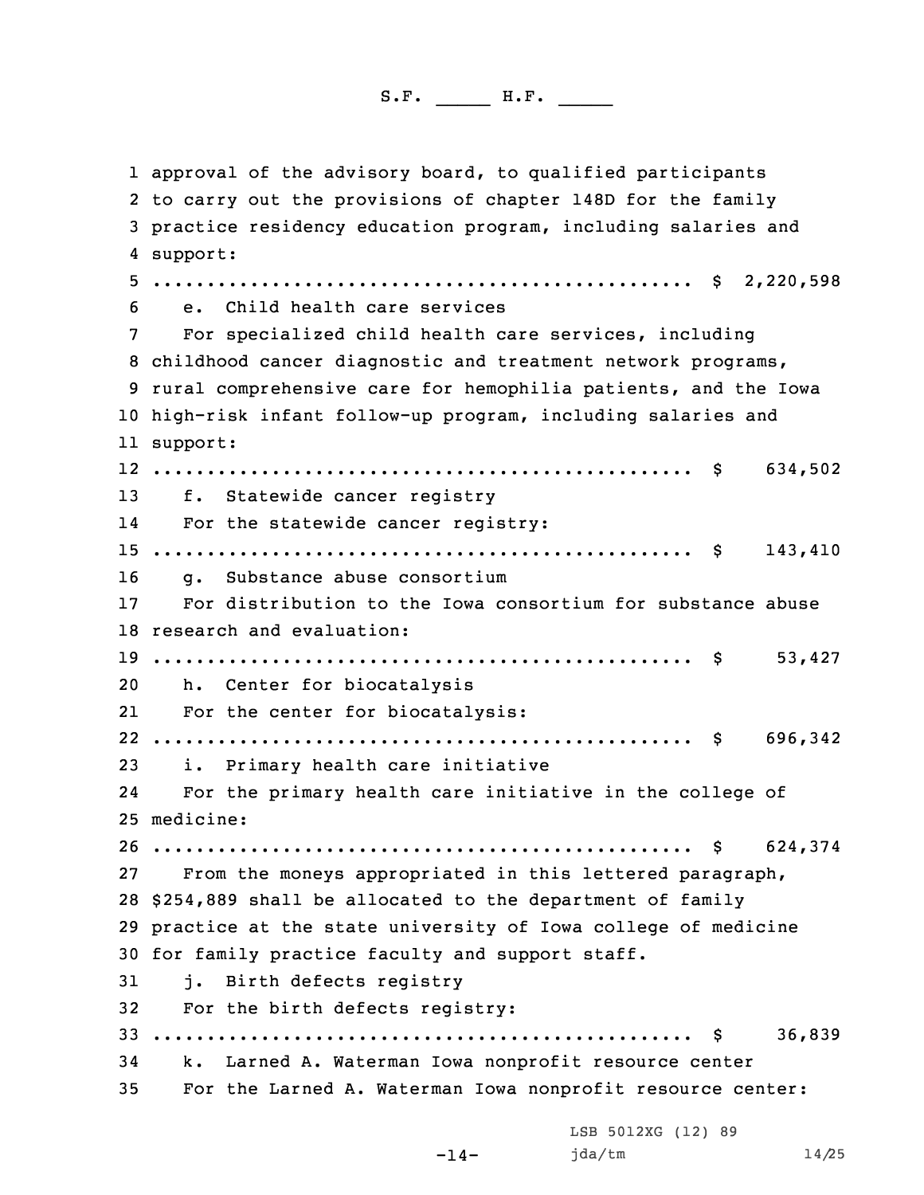approval of the advisory board, to qualified participants to carry out the provisions of chapter 148D for the family practice residency education program, including salaries and 4 support: .................................................. \$ 2,220,598 e. Child health care services For specialized child health care services, including childhood cancer diagnostic and treatment network programs, rural comprehensive care for hemophilia patients, and the Iowa high-risk infant follow-up program, including salaries and 11 support: .................................................. \$ 634,502 f. Statewide cancer registry 14 For the statewide cancer registry: .................................................. \$ 143,410 g. Substance abuse consortium For distribution to the Iowa consortium for substance abuse research and evaluation: .................................................. \$ 53,427 h. Center for biocatalysis 21 For the center for biocatalysis: .................................................. \$ 696,342 i. Primary health care initiative 24 For the primary health care initiative in the college of medicine: .................................................. \$ 624,374 From the moneys appropriated in this lettered paragraph, \$254,889 shall be allocated to the department of family practice at the state university of Iowa college of medicine for family practice faculty and support staff. j. Birth defects registry For the birth defects registry: .................................................. \$ 36,839 k. Larned A. Waterman Iowa nonprofit resource center For the Larned A. Waterman Iowa nonprofit resource center: LSB 5012XG (12) 89

 $-14-$ 

jda/tm 14/25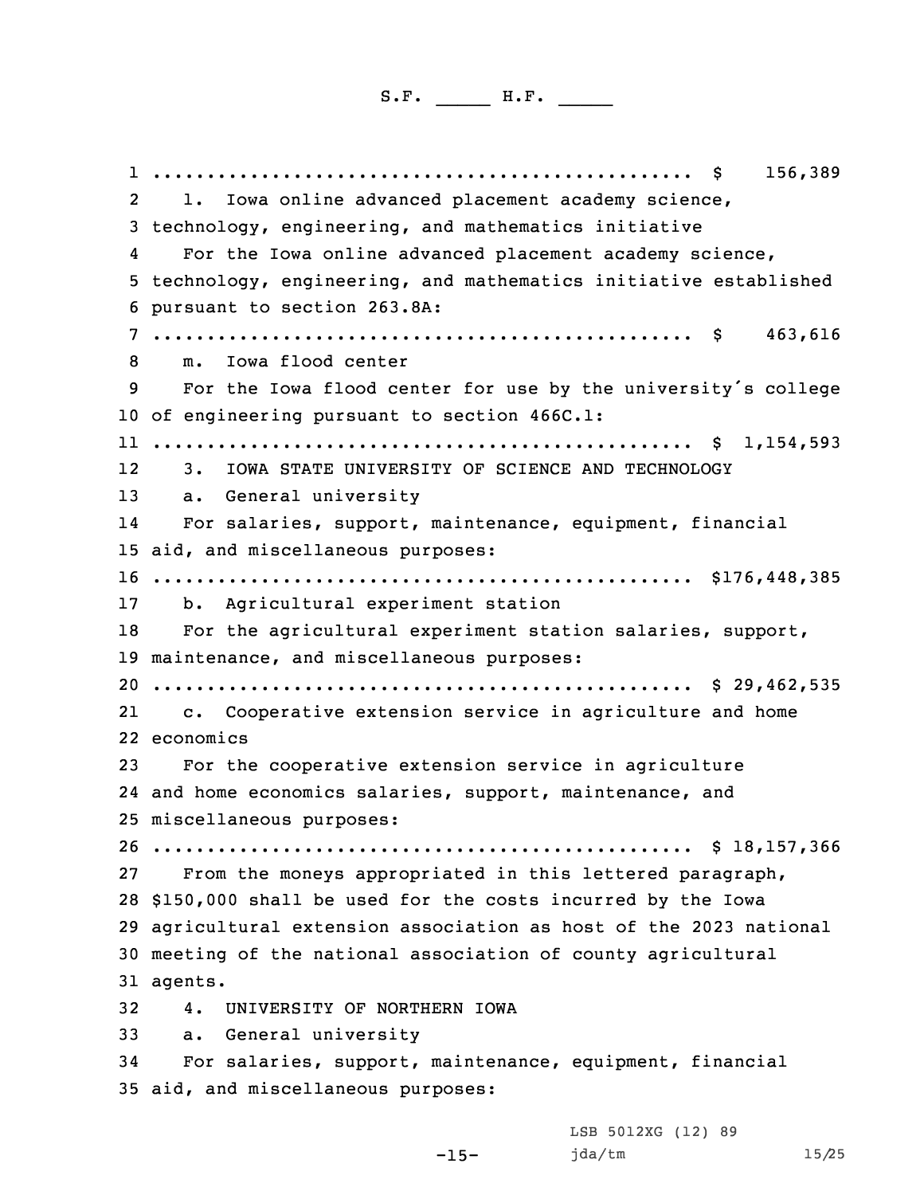.................................................. \$ 156,389 2 l. Iowa online advanced placement academy science, technology, engineering, and mathematics initiative 4 For the Iowa online advanced placement academy science, technology, engineering, and mathematics initiative established pursuant to section 263.8A: .................................................. \$ 463,616 m. Iowa flood center For the Iowa flood center for use by the university's college of engineering pursuant to section 466C.1: .................................................. \$ 1,154,593 12 3. IOWA STATE UNIVERSITY OF SCIENCE AND TECHNOLOGY a. General university 14 For salaries, support, maintenance, equipment, financial aid, and miscellaneous purposes: .................................................. \$176,448,385 b. Agricultural experiment station For the agricultural experiment station salaries, support, maintenance, and miscellaneous purposes: .................................................. \$ 29,462,535 21 c. Cooperative extension service in agriculture and home economics For the cooperative extension service in agriculture and home economics salaries, support, maintenance, and miscellaneous purposes: .................................................. \$ 18,157,366 From the moneys appropriated in this lettered paragraph, \$150,000 shall be used for the costs incurred by the Iowa agricultural extension association as host of the 2023 national meeting of the national association of county agricultural 31 agents. 4. UNIVERSITY OF NORTHERN IOWA a. General university For salaries, support, maintenance, equipment, financial aid, and miscellaneous purposes:

-15-

LSB 5012XG (12) 89 jda/tm 15/25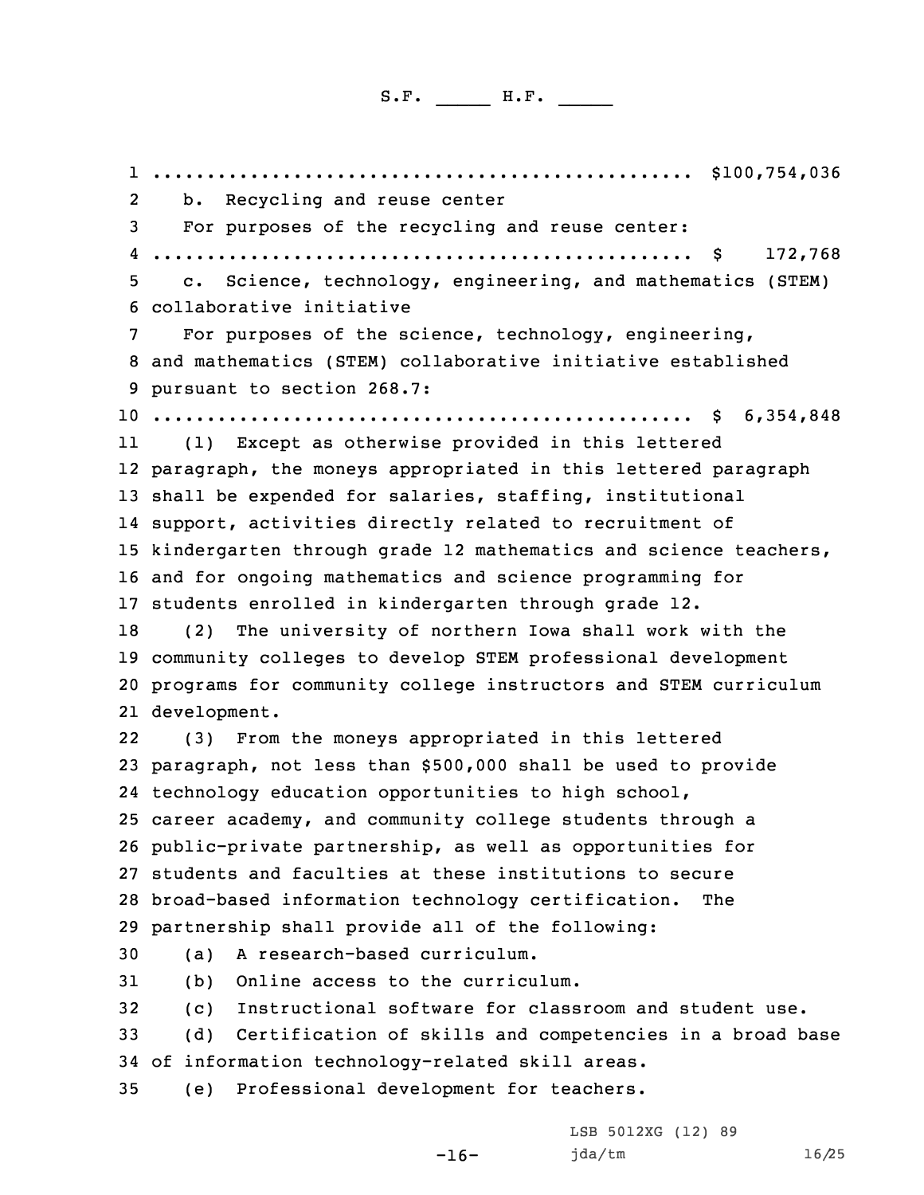.................................................. \$100,754,036 b. Recycling and reuse center For purposes of the recycling and reuse center: .................................................. \$ 172,768 c. Science, technology, engineering, and mathematics (STEM) collaborative initiative For purposes of the science, technology, engineering, and mathematics (STEM) collaborative initiative established pursuant to section 268.7: .................................................. \$ 6,354,848 11 (1) Except as otherwise provided in this lettered paragraph, the moneys appropriated in this lettered paragraph shall be expended for salaries, staffing, institutional support, activities directly related to recruitment of kindergarten through grade 12 mathematics and science teachers, and for ongoing mathematics and science programming for students enrolled in kindergarten through grade 12. (2) The university of northern Iowa shall work with the community colleges to develop STEM professional development programs for community college instructors and STEM curriculum development. 22 (3) From the moneys appropriated in this lettered paragraph, not less than \$500,000 shall be used to provide technology education opportunities to high school, career academy, and community college students through <sup>a</sup> public-private partnership, as well as opportunities for students and faculties at these institutions to secure broad-based information technology certification. The partnership shall provide all of the following: (a) <sup>A</sup> research-based curriculum. (b) Online access to the curriculum. (c) Instructional software for classroom and student use. (d) Certification of skills and competencies in <sup>a</sup> broad base of information technology-related skill areas. (e) Professional development for teachers.

-16-

LSB 5012XG (12) 89 jda/tm 16/25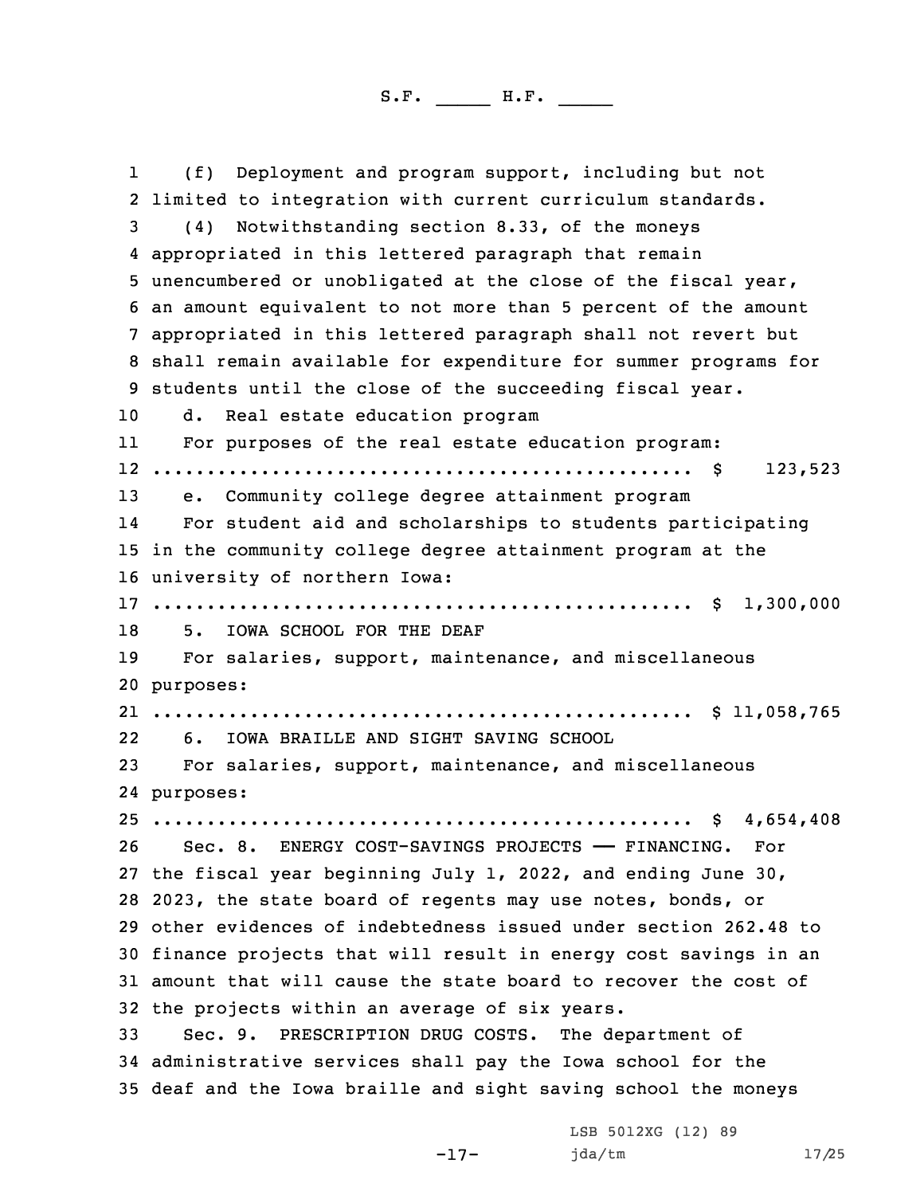1 (f) Deployment and program support, including but not limited to integration with current curriculum standards. (4) Notwithstanding section 8.33, of the moneys appropriated in this lettered paragraph that remain unencumbered or unobligated at the close of the fiscal year, an amount equivalent to not more than 5 percent of the amount appropriated in this lettered paragraph shall not revert but shall remain available for expenditure for summer programs for students until the close of the succeeding fiscal year. d. Real estate education program 11 For purposes of the real estate education program: .................................................. \$ 123,523 e. Community college degree attainment program 14 For student aid and scholarships to students participating in the community college degree attainment program at the university of northern Iowa: .................................................. \$ 1,300,000 5. IOWA SCHOOL FOR THE DEAF For salaries, support, maintenance, and miscellaneous purposes: .................................................. \$ 11,058,765 22 6. IOWA BRAILLE AND SIGHT SAVING SCHOOL For salaries, support, maintenance, and miscellaneous purposes: .................................................. \$ 4,654,408 Sec. 8. ENERGY COST-SAVINGS PROJECTS —— FINANCING. For the fiscal year beginning July 1, 2022, and ending June 30, 2023, the state board of regents may use notes, bonds, or other evidences of indebtedness issued under section 262.48 to finance projects that will result in energy cost savings in an amount that will cause the state board to recover the cost of the projects within an average of six years. Sec. 9. PRESCRIPTION DRUG COSTS. The department of administrative services shall pay the Iowa school for the deaf and the Iowa braille and sight saving school the moneys

-17-

LSB 5012XG (12) 89 jda/tm 17/25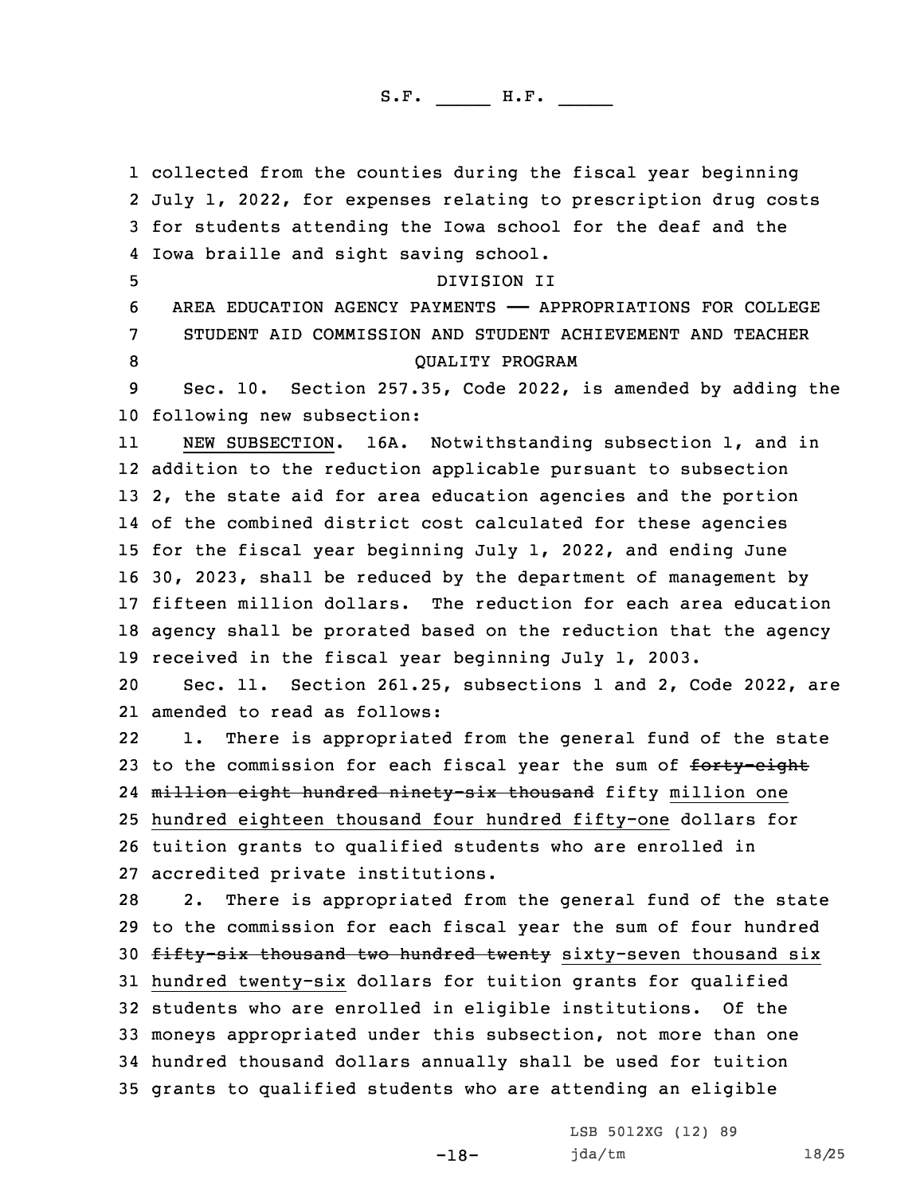collected from the counties during the fiscal year beginning July 1, 2022, for expenses relating to prescription drug costs for students attending the Iowa school for the deaf and the Iowa braille and sight saving school. DIVISION II AREA EDUCATION AGENCY PAYMENTS —— APPROPRIATIONS FOR COLLEGE STUDENT AID COMMISSION AND STUDENT ACHIEVEMENT AND TEACHER 8 QUALITY PROGRAM Sec. 10. Section 257.35, Code 2022, is amended by adding the following new subsection: 11 NEW SUBSECTION. 16A. Notwithstanding subsection 1, and in addition to the reduction applicable pursuant to subsection 2, the state aid for area education agencies and the portion of the combined district cost calculated for these agencies for the fiscal year beginning July 1, 2022, and ending June 30, 2023, shall be reduced by the department of management by fifteen million dollars. The reduction for each area education agency shall be prorated based on the reduction that the agency received in the fiscal year beginning July 1, 2003. Sec. 11. Section 261.25, subsections 1 and 2, Code 2022, are amended to read as follows: 22 1. There is appropriated from the general fund of the state 23 to the commission for each fiscal year the sum of forty-eight 24 <del>million eight hundred ninety-six thousand</del> fifty million one hundred eighteen thousand four hundred fifty-one dollars for tuition grants to qualified students who are enrolled in accredited private institutions. 2. There is appropriated from the general fund of the state to the commission for each fiscal year the sum of four hundred 30 fifty-six thousand two hundred twenty sixty-seven thousand six hundred twenty-six dollars for tuition grants for qualified students who are enrolled in eligible institutions. Of the moneys appropriated under this subsection, not more than one hundred thousand dollars annually shall be used for tuition grants to qualified students who are attending an eligible

-18-

LSB 5012XG (12) 89 jda/tm 18/25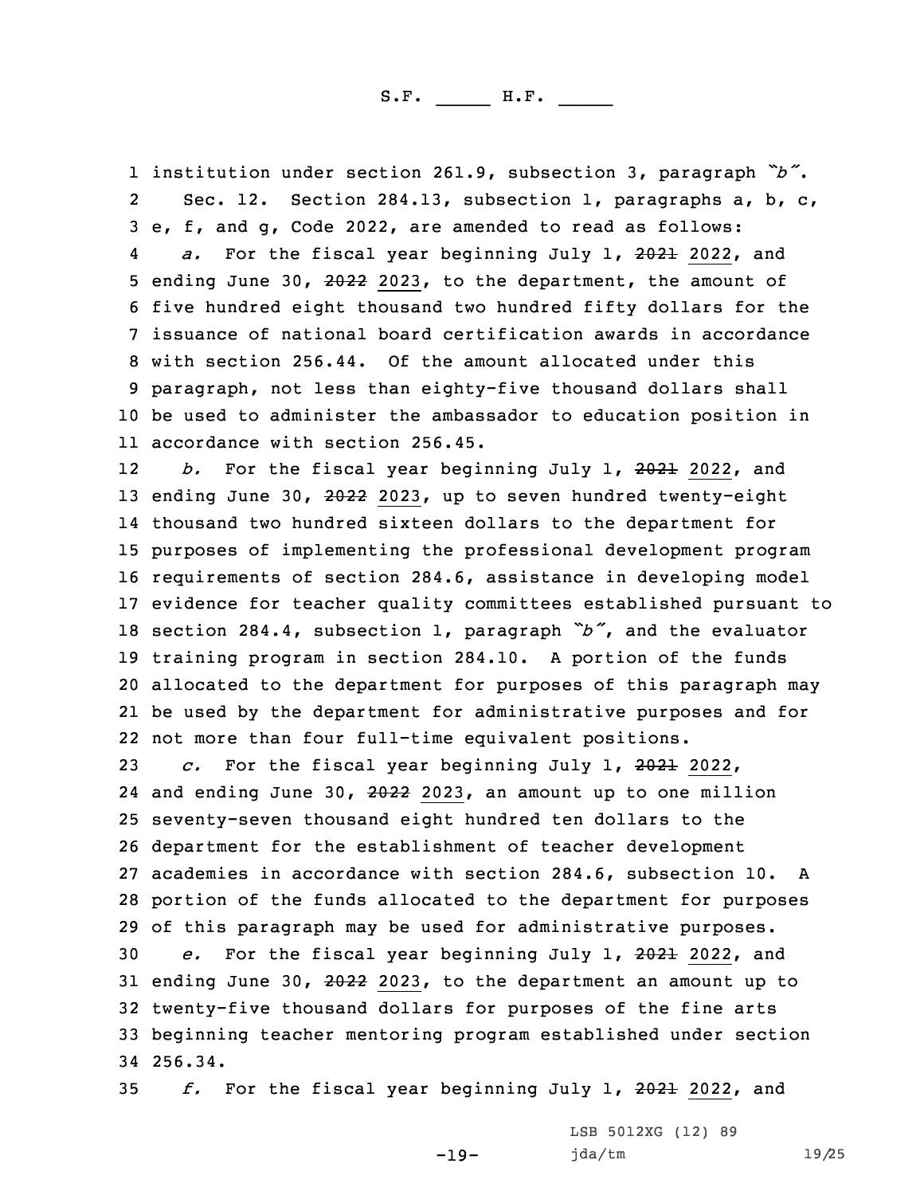institution under section 261.9, subsection 3, paragraph *"b"*. 2 Sec. 12. Section 284.13, subsection 1, paragraphs a, b, c, e, f, and g, Code 2022, are amended to read as follows: 4 *a.* For the fiscal year beginning July 1, 2021 2022, and ending June 30, 2022 2023, to the department, the amount of five hundred eight thousand two hundred fifty dollars for the issuance of national board certification awards in accordance with section 256.44. Of the amount allocated under this paragraph, not less than eighty-five thousand dollars shall be used to administer the ambassador to education position in accordance with section 256.45.

12 *b.* For the fiscal year beginning July 1, 2021 2022, and 13 ending June 30, 2022 2023, up to seven hundred twenty-eight thousand two hundred sixteen dollars to the department for purposes of implementing the professional development program requirements of section 284.6, assistance in developing model evidence for teacher quality committees established pursuant to section 284.4, subsection 1, paragraph *"b"*, and the evaluator training program in section 284.10. <sup>A</sup> portion of the funds allocated to the department for purposes of this paragraph may be used by the department for administrative purposes and for not more than four full-time equivalent positions.

 *c.* For the fiscal year beginning July 1, 2021 2022, 24 and ending June 30, 2022 2023, an amount up to one million seventy-seven thousand eight hundred ten dollars to the department for the establishment of teacher development academies in accordance with section 284.6, subsection 10. A portion of the funds allocated to the department for purposes of this paragraph may be used for administrative purposes. *e.* For the fiscal year beginning July 1, 2021 2022, and 31 ending June 30, 2022 2023, to the department an amount up to twenty-five thousand dollars for purposes of the fine arts beginning teacher mentoring program established under section 34 256.34.

35 *f.* For the fiscal year beginning July 1, 2021 2022, and

-19-

LSB 5012XG (12) 89 jda/tm 19/25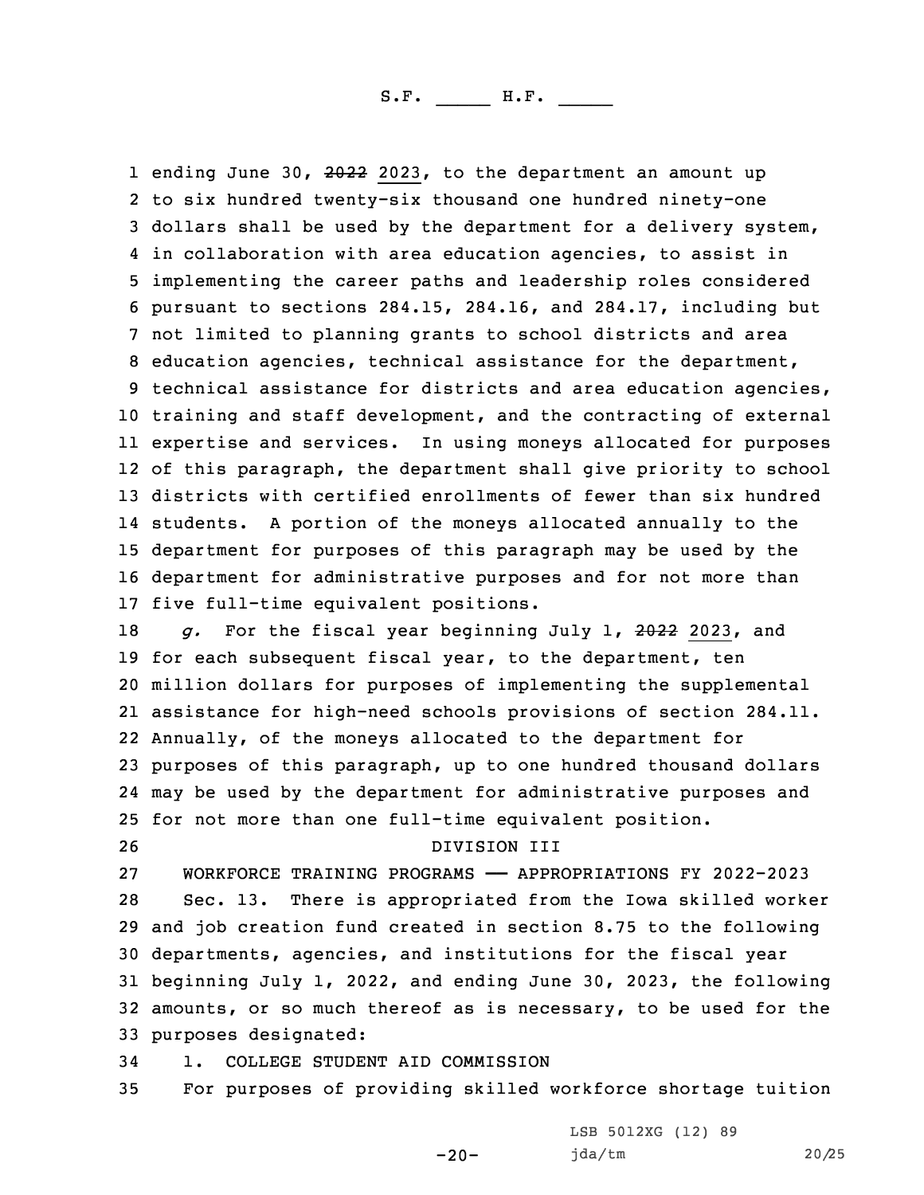1 ending June 30, 2022 2023, to the department an amount up to six hundred twenty-six thousand one hundred ninety-one dollars shall be used by the department for <sup>a</sup> delivery system, in collaboration with area education agencies, to assist in implementing the career paths and leadership roles considered pursuant to sections 284.15, 284.16, and 284.17, including but not limited to planning grants to school districts and area education agencies, technical assistance for the department, technical assistance for districts and area education agencies, training and staff development, and the contracting of external expertise and services. In using moneys allocated for purposes of this paragraph, the department shall give priority to school districts with certified enrollments of fewer than six hundred students. <sup>A</sup> portion of the moneys allocated annually to the department for purposes of this paragraph may be used by the department for administrative purposes and for not more than five full-time equivalent positions.

 *g.* For the fiscal year beginning July 1, 2022 2023, and 19 for each subsequent fiscal year, to the department, ten million dollars for purposes of implementing the supplemental assistance for high-need schools provisions of section 284.11. Annually, of the moneys allocated to the department for purposes of this paragraph, up to one hundred thousand dollars may be used by the department for administrative purposes and for not more than one full-time equivalent position.

## 26 DIVISION III

 WORKFORCE TRAINING PROGRAMS —— APPROPRIATIONS FY 2022-2023 Sec. 13. There is appropriated from the Iowa skilled worker and job creation fund created in section 8.75 to the following departments, agencies, and institutions for the fiscal year beginning July 1, 2022, and ending June 30, 2023, the following amounts, or so much thereof as is necessary, to be used for the purposes designated:

34 1. COLLEGE STUDENT AID COMMISSION

35 For purposes of providing skilled workforce shortage tuition

-20-

LSB 5012XG (12) 89 jda/tm 20/25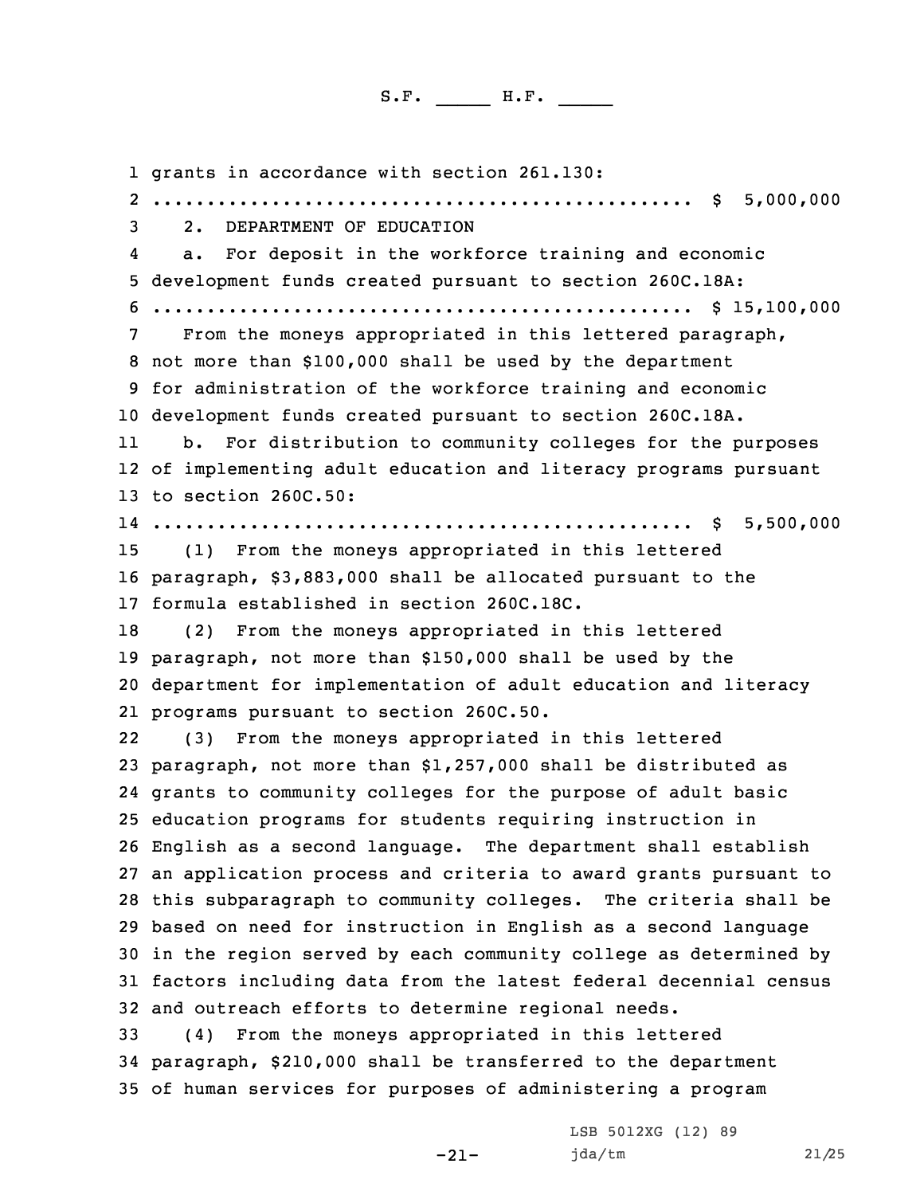1 grants in accordance with section 261.130:

 .................................................. \$ 5,000,000 2. DEPARTMENT OF EDUCATION 4 a. For deposit in the workforce training and economic development funds created pursuant to section 260C.18A: .................................................. \$ 15,100,000 From the moneys appropriated in this lettered paragraph, not more than \$100,000 shall be used by the department for administration of the workforce training and economic development funds created pursuant to section 260C.18A. 11 b. For distribution to community colleges for the purposes of implementing adult education and literacy programs pursuant to section 260C.50: .................................................. \$ 5,500,000 (1) From the moneys appropriated in this lettered paragraph, \$3,883,000 shall be allocated pursuant to the formula established in section 260C.18C. (2) From the moneys appropriated in this lettered paragraph, not more than \$150,000 shall be used by the department for implementation of adult education and literacy programs pursuant to section 260C.50. 22 (3) From the moneys appropriated in this lettered paragraph, not more than \$1,257,000 shall be distributed as grants to community colleges for the purpose of adult basic education programs for students requiring instruction in English as <sup>a</sup> second language. The department shall establish an application process and criteria to award grants pursuant to this subparagraph to community colleges. The criteria shall be based on need for instruction in English as <sup>a</sup> second language in the region served by each community college as determined by factors including data from the latest federal decennial census and outreach efforts to determine regional needs. (4) From the moneys appropriated in this lettered paragraph, \$210,000 shall be transferred to the department of human services for purposes of administering <sup>a</sup> program

-21-

LSB 5012XG (12) 89 jda/tm 21/25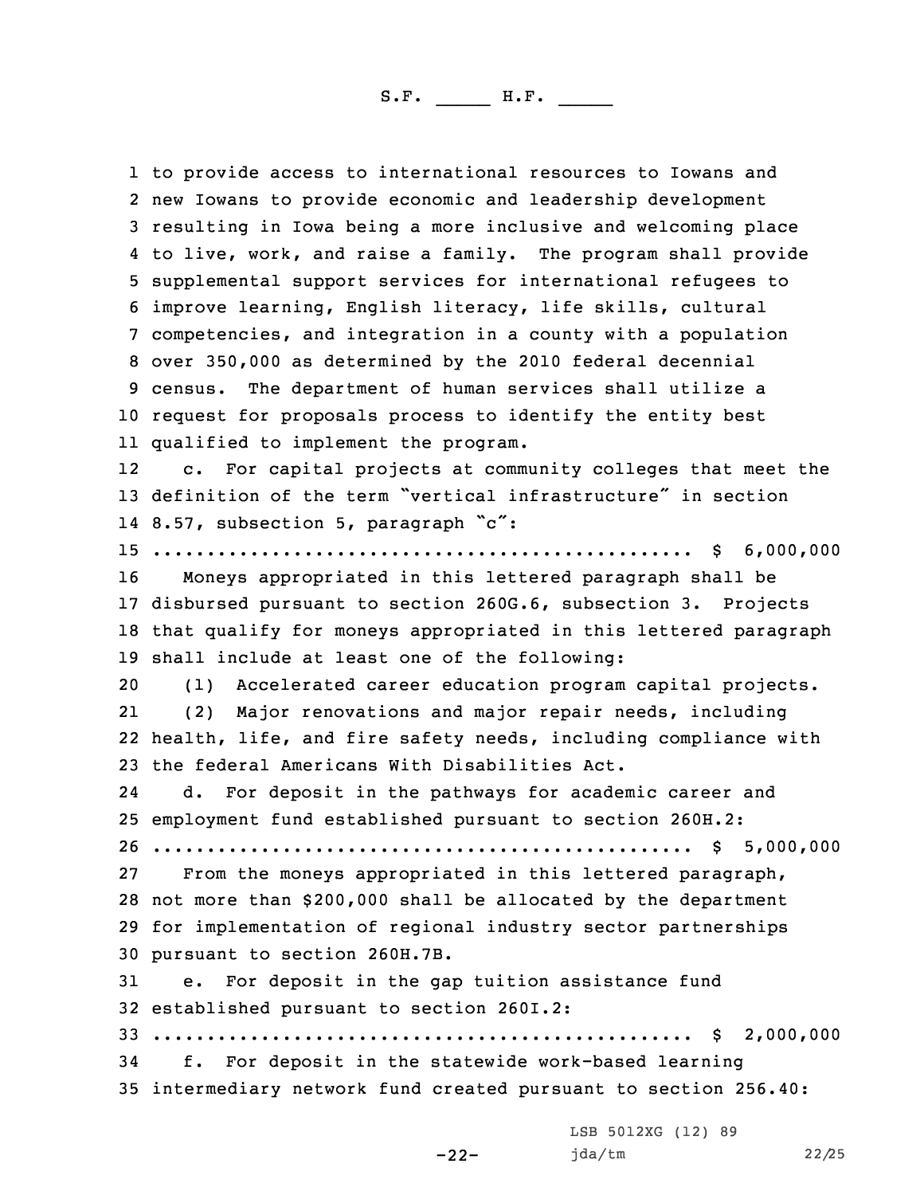to provide access to international resources to Iowans and new Iowans to provide economic and leadership development resulting in Iowa being <sup>a</sup> more inclusive and welcoming place to live, work, and raise <sup>a</sup> family. The program shall provide supplemental support services for international refugees to improve learning, English literacy, life skills, cultural competencies, and integration in <sup>a</sup> county with <sup>a</sup> population over 350,000 as determined by the 2010 federal decennial census. The department of human services shall utilize <sup>a</sup> request for proposals process to identify the entity best qualified to implement the program. 12 c. For capital projects at community colleges that meet the definition of the term "vertical infrastructure" in section 8.57, subsection 5, paragraph "c": .................................................. \$ 6,000,000 Moneys appropriated in this lettered paragraph shall be disbursed pursuant to section 260G.6, subsection 3. Projects that qualify for moneys appropriated in this lettered paragraph shall include at least one of the following: (1) Accelerated career education program capital projects. 21 (2) Major renovations and major repair needs, including health, life, and fire safety needs, including compliance with the federal Americans With Disabilities Act. 24 d. For deposit in the pathways for academic career and employment fund established pursuant to section 260H.2: .................................................. \$ 5,000,000 From the moneys appropriated in this lettered paragraph, not more than \$200,000 shall be allocated by the department for implementation of regional industry sector partnerships pursuant to section 260H.7B. e. For deposit in the gap tuition assistance fund established pursuant to section 260I.2: .................................................. \$ 2,000,000 f. For deposit in the statewide work-based learning intermediary network fund created pursuant to section 256.40:

-22-

LSB 5012XG (12) 89 jda/tm 22/25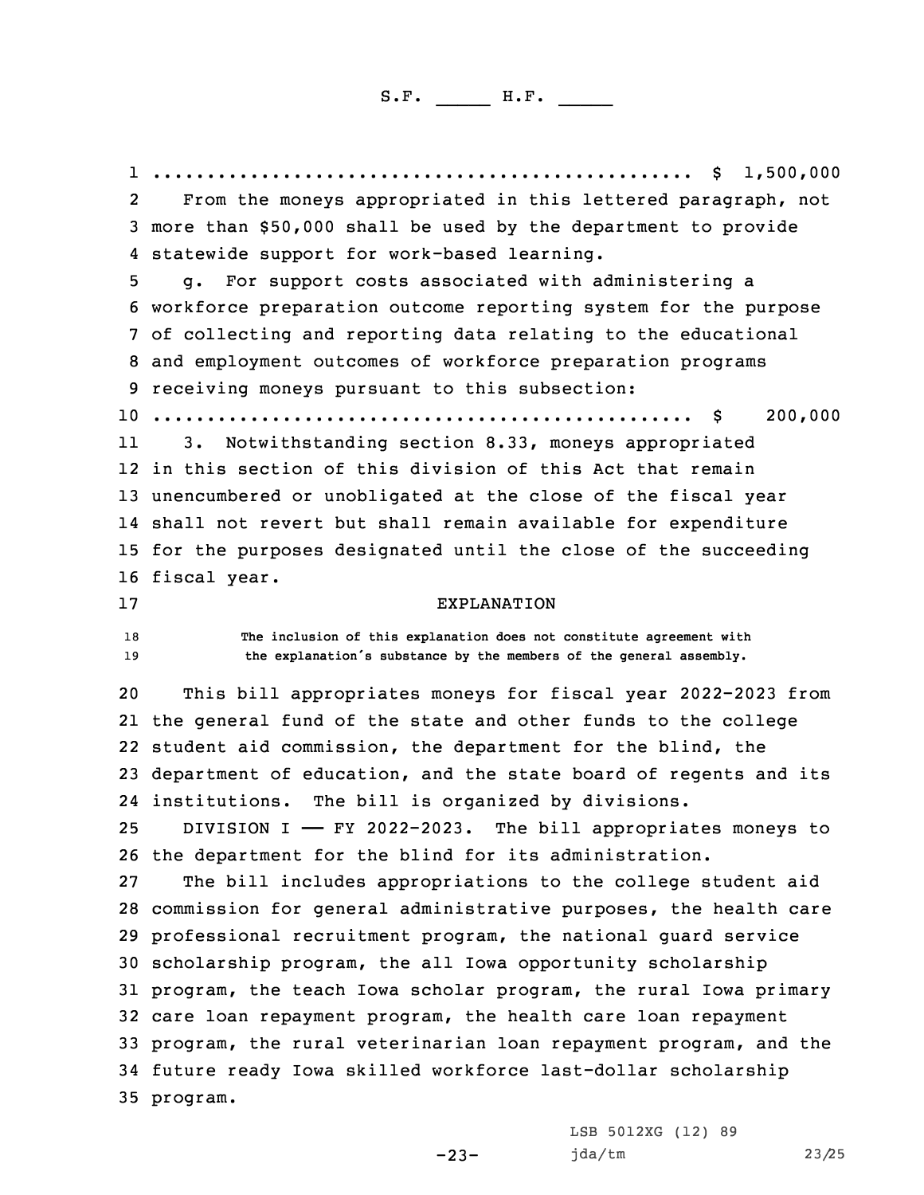1 ... .................................................. \$ 1,500,000 2 From the moneys appropriated in this lettered paragraph, not more than \$50,000 shall be used by the department to provide statewide support for work-based learning. g. For support costs associated with administering <sup>a</sup> workforce preparation outcome reporting system for the purpose of collecting and reporting data relating to the educational and employment outcomes of workforce preparation programs receiving moneys pursuant to this subsection: .................................................. \$ 200,000 11 3. Notwithstanding section 8.33, moneys appropriated in this section of this division of this Act that remain unencumbered or unobligated at the close of the fiscal year shall not revert but shall remain available for expenditure for the purposes designated until the close of the succeeding fiscal year. EXPLANATION **The inclusion of this explanation does not constitute agreement with the explanation's substance by the members of the general assembly.** This bill appropriates moneys for fiscal year 2022-2023 from the general fund of the state and other funds to the college student aid commission, the department for the blind, the department of education, and the state board of regents and its institutions. The bill is organized by divisions. DIVISION <sup>I</sup> —— FY 2022-2023. The bill appropriates moneys to the department for the blind for its administration. The bill includes appropriations to the college student aid commission for general administrative purposes, the health care professional recruitment program, the national guard service scholarship program, the all Iowa opportunity scholarship program, the teach Iowa scholar program, the rural Iowa primary care loan repayment program, the health care loan repayment program, the rural veterinarian loan repayment program, and the future ready Iowa skilled workforce last-dollar scholarship 35 program.

> LSB 5012XG (12) 89 jda/tm 23/25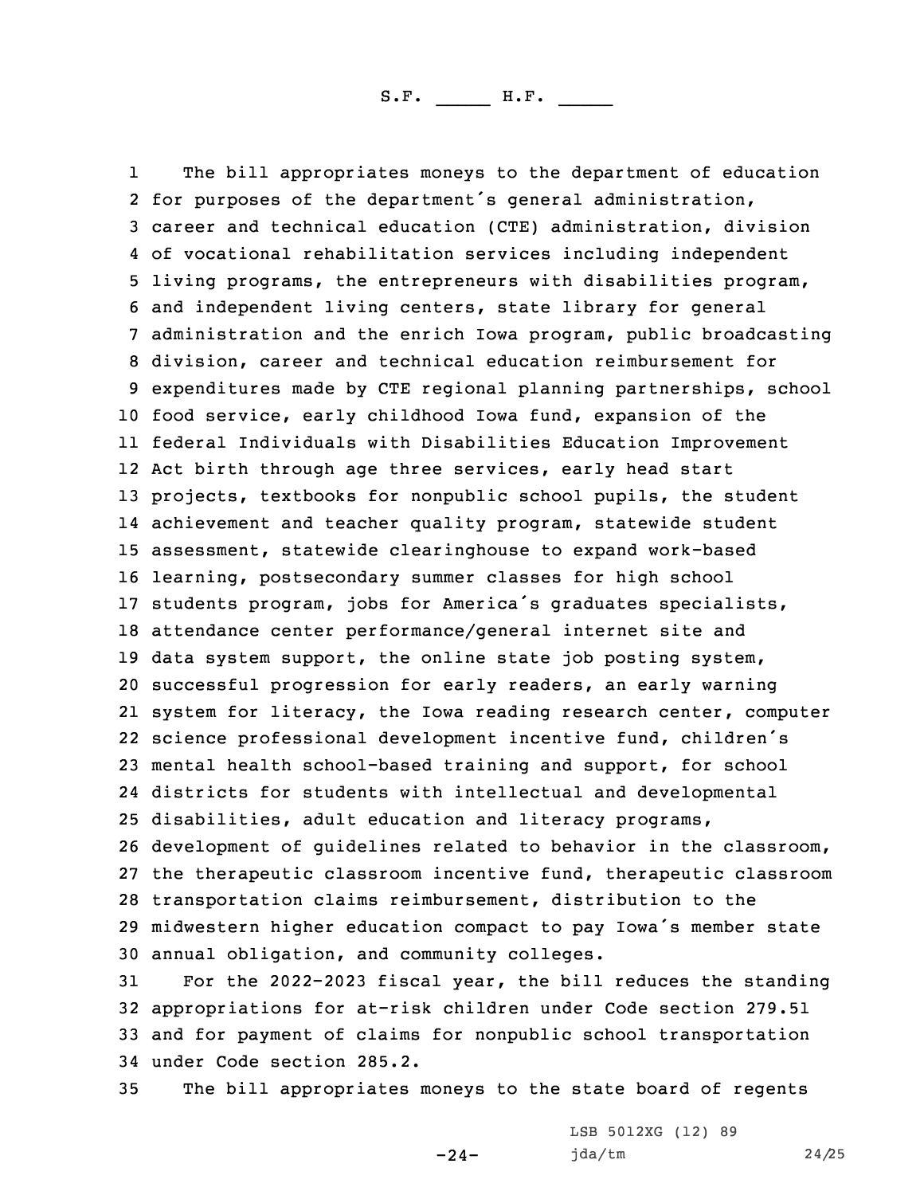1 The bill appropriates moneys to the department of education for purposes of the department's general administration, career and technical education (CTE) administration, division of vocational rehabilitation services including independent living programs, the entrepreneurs with disabilities program, and independent living centers, state library for general administration and the enrich Iowa program, public broadcasting division, career and technical education reimbursement for expenditures made by CTE regional planning partnerships, school food service, early childhood Iowa fund, expansion of the federal Individuals with Disabilities Education Improvement Act birth through age three services, early head start projects, textbooks for nonpublic school pupils, the student achievement and teacher quality program, statewide student assessment, statewide clearinghouse to expand work-based learning, postsecondary summer classes for high school students program, jobs for America's graduates specialists, attendance center performance/general internet site and data system support, the online state job posting system, successful progression for early readers, an early warning system for literacy, the Iowa reading research center, computer science professional development incentive fund, children's mental health school-based training and support, for school districts for students with intellectual and developmental disabilities, adult education and literacy programs, development of guidelines related to behavior in the classroom, the therapeutic classroom incentive fund, therapeutic classroom transportation claims reimbursement, distribution to the midwestern higher education compact to pay Iowa's member state annual obligation, and community colleges.

 For the 2022-2023 fiscal year, the bill reduces the standing appropriations for at-risk children under Code section 279.51 and for payment of claims for nonpublic school transportation under Code section 285.2.

35 The bill appropriates moneys to the state board of regents

 $-24-$ 

LSB 5012XG (12) 89 jda/tm 24/25